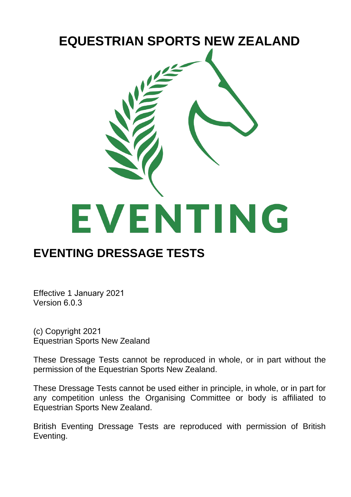

### **EVENTING DRESSAGE TESTS**

Effective 1 January 2021 Version 6.0.3

(c) Copyright 2021 Equestrian Sports New Zealand

These Dressage Tests cannot be reproduced in whole, or in part without the permission of the Equestrian Sports New Zealand.

These Dressage Tests cannot be used either in principle, in whole, or in part for any competition unless the Organising Committee or body is affiliated to Equestrian Sports New Zealand.

British Eventing Dressage Tests are reproduced with permission of British Eventing.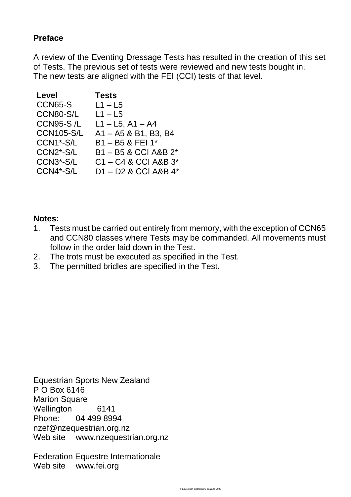#### **Preface**

A review of the Eventing Dressage Tests has resulted in the creation of this set of Tests. The previous set of tests were reviewed and new tests bought in. The new tests are aligned with the FEI (CCI) tests of that level.

| Level                  | <b>Tests</b>             |
|------------------------|--------------------------|
| CCN65-S                | $L1 - L5$                |
| CCN80-S/L              | $L1 - L5$                |
| <b>CCN95-S/L</b>       | $L1 - L5$ , A1 - A4      |
| <b>CCN105-S/L</b>      | A1-A5 & B1, B3, B4       |
| CCN1*-S/L              | $B1 - B5$ & FEI 1*       |
| CCN2*-S/L              | B1-B5 & CCI A&B 2*       |
| CCN <sub>3</sub> *-S/L | $C1 - C4$ & CCI A&B $3*$ |
| CCN4*-S/L              | D1-D2 & CCI A&B 4*       |

#### **Notes:**

- 1. Tests must be carried out entirely from memory, with the exception of CCN65 and CCN80 classes where Tests may be commanded. All movements must follow in the order laid down in the Test.
- 2. The trots must be executed as specified in the Test.
- 3. The permitted bridles are specified in the Test.

Equestrian Sports New Zealand P O Box 6146 Marion Square Wellington 6141 Phone: 04 499 8994 nzef@nzequestrian.org.nz Web site www.nzequestrian.org.nz

Federation Equestre Internationale Web site www.fei.org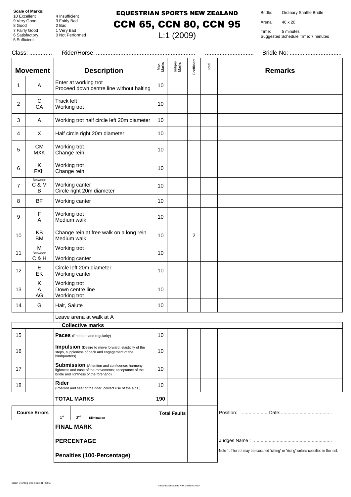8 Good 2 Bad

5 Sufficient

4 Insufficient 9 Very Good 3 Fairly Bad 7 Fairly Good 1 Very Bad 4 Insulficient<br>3 Fairly Bad<br>2 Bad<br>1 Very Bad<br>0 Not Performed

### EQUESTRIAN SPORTS NEW ZEALAND CCN 65, CCN 80, CCN 95

L:1 (2009)

Bridle: Ordinary Snaffle Bridle

Arena: 40 x 20

|                                                                           | Class:                         |                                                                                                                                                   |                     |                 |                |                                                                                      |                |
|---------------------------------------------------------------------------|--------------------------------|---------------------------------------------------------------------------------------------------------------------------------------------------|---------------------|-----------------|----------------|--------------------------------------------------------------------------------------|----------------|
|                                                                           | <b>Movement</b>                | <b>Description</b>                                                                                                                                | Max<br>Marks        | Judges<br>Marks | Coefficient    | Total                                                                                | <b>Remarks</b> |
| 1                                                                         | Α                              | Enter at working trot<br>Proceed down centre line without halting                                                                                 | 10                  |                 |                |                                                                                      |                |
| 2                                                                         | C<br>CA                        | <b>Track left</b><br>Working trot                                                                                                                 | 10                  |                 |                |                                                                                      |                |
| 3                                                                         | Α                              | Working trot half circle left 20m diameter                                                                                                        | 10                  |                 |                |                                                                                      |                |
| 4                                                                         | X                              | Half circle right 20m diameter                                                                                                                    | 10                  |                 |                |                                                                                      |                |
| 5                                                                         | <b>CM</b><br><b>MXK</b>        | Working trot<br>Change rein                                                                                                                       | 10                  |                 |                |                                                                                      |                |
| 6                                                                         | Κ<br><b>FXH</b>                | Working trot<br>Change rein                                                                                                                       | 10                  |                 |                |                                                                                      |                |
| $\overline{7}$                                                            | Between<br>C & M<br>В          | Working canter<br>Circle right 20m diameter                                                                                                       | 10                  |                 |                |                                                                                      |                |
| 8                                                                         | <b>BF</b>                      | Working canter                                                                                                                                    | 10                  |                 |                |                                                                                      |                |
| 9                                                                         | F<br>Α                         | Working trot<br>Medium walk                                                                                                                       | 10                  |                 |                |                                                                                      |                |
| 10                                                                        | ΚB<br><b>BM</b>                | Change rein at free walk on a long rein<br>Medium walk                                                                                            | 10                  |                 | $\overline{c}$ |                                                                                      |                |
| 11                                                                        | M<br>Between<br><b>C&amp;H</b> | Working trot<br>Working canter                                                                                                                    | 10                  |                 |                |                                                                                      |                |
| 12                                                                        | E<br>EK                        | Circle left 20m diameter<br>Working canter                                                                                                        | 10                  |                 |                |                                                                                      |                |
| 13                                                                        | Κ<br>Α<br>AG                   | Working trot<br>Down centre line<br>Working trot                                                                                                  | 10                  |                 |                |                                                                                      |                |
| 14                                                                        | G                              | Halt, Salute                                                                                                                                      | 10                  |                 |                |                                                                                      |                |
|                                                                           |                                | Leave arena at walk at A                                                                                                                          |                     |                 |                |                                                                                      |                |
|                                                                           |                                | <b>Collective marks</b>                                                                                                                           |                     |                 |                |                                                                                      |                |
| 15                                                                        |                                | Paces (Freedom and regularity)                                                                                                                    | 10                  |                 |                |                                                                                      |                |
| 16                                                                        |                                | <b>Impulsion</b> (Desire to move forward, elasticity of the<br>steps, suppleness of back and engagement of the<br>hindquarters)                   | 10                  |                 |                |                                                                                      |                |
| 17                                                                        |                                | Submission (Attention and confidence; harmony,<br>lightness and ease of the movements; acceptance of the<br>bridle and lightness of the forehand) | 10                  |                 |                |                                                                                      |                |
| 18                                                                        |                                | Rider<br>(Position and seat of the rider, correct use of the aids.)                                                                               | 10                  |                 |                |                                                                                      |                |
|                                                                           |                                | <b>TOTAL MARKS</b>                                                                                                                                | 190                 |                 |                |                                                                                      |                |
| <b>Course Errors</b><br>1 <sup>st</sup><br>2 <sup>nd</sup><br>Elimination |                                |                                                                                                                                                   | <b>Total Faults</b> |                 |                |                                                                                      |                |
| <b>FINAL MARK</b>                                                         |                                |                                                                                                                                                   |                     |                 |                |                                                                                      |                |
|                                                                           |                                | <b>PERCENTAGE</b>                                                                                                                                 |                     |                 |                |                                                                                      |                |
| Penalties (100-Percentage)                                                |                                |                                                                                                                                                   |                     |                 |                | Note 1: The trot may be executed "sitting" or "rising" unless specified in the test. |                |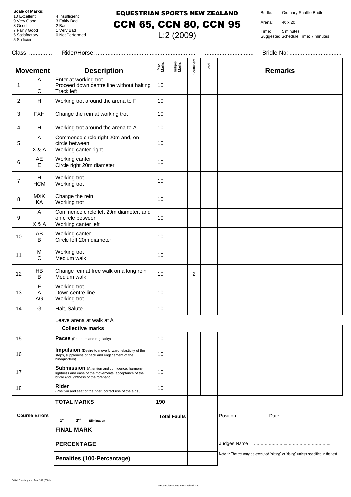8 Good 2 Bad

5 Sufficient

4 Insufficient 9 Very Good 3 Fairly Bad 7 Fairly Good 1 Very Bad 4 Insulficient<br>3 Fairly Bad<br>2 Bad<br>1 Very Bad<br>0 Not Performed

#### EQUESTRIAN SPORTS NEW ZEALAND

Bridle: Ordinary Snaffle Bridle

Arena: 40 x 20

Time: 5 minutes Suggested Schedule Time: 7 minutes

| Class:                     |                      |                                                                                                                                                   | Bridle No:   |                     |             |       |                                                                                      |
|----------------------------|----------------------|---------------------------------------------------------------------------------------------------------------------------------------------------|--------------|---------------------|-------------|-------|--------------------------------------------------------------------------------------|
|                            | <b>Movement</b>      | <b>Description</b>                                                                                                                                | Max<br>Marks | Judges<br>Marks     | Coefficient | Total | <b>Remarks</b>                                                                       |
| 1                          | A<br>С               | Enter at working trot<br>Proceed down centre line without halting<br><b>Track left</b>                                                            | 10           |                     |             |       |                                                                                      |
| 2                          | H                    | Working trot around the arena to F                                                                                                                | 10           |                     |             |       |                                                                                      |
| 3                          | <b>FXH</b>           | Change the rein at working trot                                                                                                                   | 10           |                     |             |       |                                                                                      |
| 4                          | Н                    | Working trot around the arena to A                                                                                                                | 10           |                     |             |       |                                                                                      |
| 5                          | A<br>X & A           | Commence circle right 20m and, on<br>circle between<br>Working canter right                                                                       | 10           |                     |             |       |                                                                                      |
| 6                          | AE<br>E              | Working canter<br>Circle right 20m diameter                                                                                                       | 10           |                     |             |       |                                                                                      |
| 7                          | H<br><b>HCM</b>      | Working trot<br>Working trot                                                                                                                      | 10           |                     |             |       |                                                                                      |
| 8                          | <b>MXK</b><br>KA     | Change the rein<br>Working trot                                                                                                                   | 10           |                     |             |       |                                                                                      |
| 9                          | A<br>X & A           | Commence circle left 20m diameter, and<br>on circle between<br>Working canter left                                                                | 10           |                     |             |       |                                                                                      |
| 10                         | AB<br>B              | Working canter<br>Circle left 20m diameter                                                                                                        | 10           |                     |             |       |                                                                                      |
| 11                         | M<br>C               | Working trot<br>Medium walk                                                                                                                       | 10           |                     |             |       |                                                                                      |
| 12                         | HB<br>B              | Change rein at free walk on a long rein<br>Medium walk                                                                                            | 10           |                     | 2           |       |                                                                                      |
| 13                         | F<br>Α<br>AG         | Working trot<br>Down centre line<br>Working trot                                                                                                  | 10           |                     |             |       |                                                                                      |
| 14                         | G                    | Halt, Salute                                                                                                                                      | 10           |                     |             |       |                                                                                      |
|                            |                      | Leave arena at walk at A                                                                                                                          |              |                     |             |       |                                                                                      |
|                            |                      | <b>Collective marks</b>                                                                                                                           |              |                     |             |       |                                                                                      |
| 15                         |                      | Paces (Freedom and regularity)                                                                                                                    | 10           |                     |             |       |                                                                                      |
| 16                         |                      | <b>Impulsion</b> (Desire to move forward, elasticity of the<br>steps, suppleness of back and engagement of the<br>hindquarters)                   | 10           |                     |             |       |                                                                                      |
| 17                         |                      | Submission (Attention and confidence; harmony,<br>lightness and ease of the movements; acceptance of the<br>bridle and lightness of the forehand) | 10           |                     |             |       |                                                                                      |
| 18                         |                      | Rider<br>(Position and seat of the rider, correct use of the aids.)                                                                               | 10           |                     |             |       |                                                                                      |
|                            |                      | <b>TOTAL MARKS</b>                                                                                                                                | 190          |                     |             |       |                                                                                      |
|                            | <b>Course Errors</b> | 1 <sup>st</sup><br>2 <sup>nd</sup><br>Elimination                                                                                                 |              | <b>Total Faults</b> |             |       |                                                                                      |
| <b>FINAL MARK</b>          |                      |                                                                                                                                                   |              |                     |             |       |                                                                                      |
| <b>PERCENTAGE</b>          |                      |                                                                                                                                                   |              |                     |             |       |                                                                                      |
| Penalties (100-Percentage) |                      |                                                                                                                                                   |              |                     |             |       | Note 1: The trot may be executed "sitting" or "rising" unless specified in the test. |

CCN 65, CCN 80, CCN 95 L:2 (2009)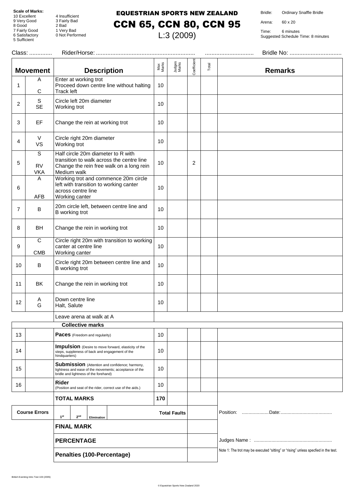8 Good 2 Bad

5 Sufficient

4 Insufficient 9 Very Good 3 Fairly Bad 7 Fairly Good 1 Very Bad 4 Insulficient<br>3 Fairly Bad<br>2 Bad<br>1 Very Bad<br>0 Not Performed

#### EQUESTRIAN SPORTS NEW ZEALAND

Bridle: Ordinary Snaffle Bridle

Arena: 60 x 20

Time: 6 minutes Suggested Schedule Time: 8 minutes

| Class:                     |                              |                                                                                                                                                          |              |                     |                | Bridle No: |                                                                                     |
|----------------------------|------------------------------|----------------------------------------------------------------------------------------------------------------------------------------------------------|--------------|---------------------|----------------|------------|-------------------------------------------------------------------------------------|
|                            | <b>Movement</b>              | <b>Description</b>                                                                                                                                       | Max<br>Marks | Judges<br>Marks     | Coefficient    | Total      | <b>Remarks</b>                                                                      |
| 1                          | A<br>C                       | Enter at working trot<br>Proceed down centre line without halting<br>Track left                                                                          | 10           |                     |                |            |                                                                                     |
| 2                          | S<br><b>SE</b>               | Circle left 20m diameter<br>Working trot                                                                                                                 | 10           |                     |                |            |                                                                                     |
| 3                          | EF                           | Change the rein at working trot                                                                                                                          | 10           |                     |                |            |                                                                                     |
| 4                          | V<br><b>VS</b>               | Circle right 20m diameter<br>Working trot                                                                                                                | 10           |                     |                |            |                                                                                     |
| 5                          | S<br><b>RV</b><br><b>VKA</b> | Half circle 20m diameter to R with<br>transition to walk across the centre line<br>Change the rein free walk on a long rein<br>Medium walk               | 10           |                     | $\overline{2}$ |            |                                                                                     |
| 6                          | Α<br>AFB                     | Working trot and commence 20m circle<br>left with transition to working canter<br>across centre line<br>Working canter                                   | 10           |                     |                |            |                                                                                     |
| $\overline{7}$             | B                            | 20m circle left, between centre line and<br>B working trot                                                                                               | 10           |                     |                |            |                                                                                     |
| 8                          | BH                           | Change the rein in working trot                                                                                                                          | 10           |                     |                |            |                                                                                     |
| 9                          | $\overline{C}$<br><b>CMB</b> | Circle right 20m with transition to working<br>canter at centre line<br>Working canter                                                                   | 10           |                     |                |            |                                                                                     |
| 10                         | $\sf B$                      | Circle right 20m between centre line and<br>B working trot                                                                                               | 10           |                     |                |            |                                                                                     |
| 11                         | BK                           | Change the rein in working trot                                                                                                                          | 10           |                     |                |            |                                                                                     |
| 12                         | A<br>G                       | Down centre line<br>Halt, Salute                                                                                                                         | 10           |                     |                |            |                                                                                     |
|                            |                              | Leave arena at walk at A                                                                                                                                 |              |                     |                |            |                                                                                     |
|                            |                              | <b>Collective marks</b>                                                                                                                                  |              |                     |                |            |                                                                                     |
| 13                         |                              | Paces (Freedom and regularity)                                                                                                                           | 10           |                     |                |            |                                                                                     |
| 14                         |                              | Impulsion (Desire to move forward, elasticity of the<br>steps, suppleness of back and engagement of the<br>hindquarters)                                 | 10           |                     |                |            |                                                                                     |
| 15                         |                              | <b>Submission</b> (Attention and confidence; harmony,<br>lightness and ease of the movements; acceptance of the<br>bridle and lightness of the forehand) | 10           |                     |                |            |                                                                                     |
| 16                         |                              | Rider<br>(Position and seat of the rider, correct use of the aids.)                                                                                      | 10           |                     |                |            |                                                                                     |
|                            |                              | TOTAL MARKS                                                                                                                                              | 170          |                     |                |            |                                                                                     |
|                            | <b>Course Errors</b>         | 1 <sup>st</sup><br>2 <sup>nd</sup><br>Elimination                                                                                                        |              | <b>Total Faults</b> |                |            |                                                                                     |
|                            | <b>FINAL MARK</b>            |                                                                                                                                                          |              |                     |                |            |                                                                                     |
|                            |                              | <b>PERCENTAGE</b>                                                                                                                                        |              |                     |                |            |                                                                                     |
| Penalties (100-Percentage) |                              |                                                                                                                                                          |              |                     |                |            | Note 1: The trot may be executed "sitting" or "rising" unless specfied in the test. |

# CCN 65, CCN 80, CCN 95

## L:3 (2009)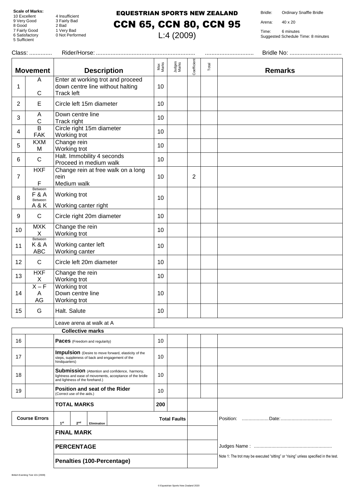8 Good 2 Bad

5 Sufficient

4 Insufficient 9 Very Good 3 Fairly Bad 7 Fairly Good 1 Very Bad 4 Insulficient<br>3 Fairly Bad<br>2 Bad<br>1 Very Bad<br>0 Not Performed

### EQUESTRIAN SPORTS NEW ZEALAND CCN 65, CCN 80, CCN 95

L:4 (2009)

Bridle: Ordinary Snaffle Bridle

Arena: 40 x 20

| Class:                     |                                             |                                                                                                                                                |                 |                     |                |       |                                                                                      |  |
|----------------------------|---------------------------------------------|------------------------------------------------------------------------------------------------------------------------------------------------|-----------------|---------------------|----------------|-------|--------------------------------------------------------------------------------------|--|
|                            | <b>Movement</b>                             | <b>Description</b>                                                                                                                             | Max<br>Marks    | Judges<br>Marks     | Coefficient    | Total | <b>Remarks</b>                                                                       |  |
| 1                          | A<br>С                                      | Enter at working trot and proceed<br>down centre line without halting<br><b>Track left</b>                                                     | 10              |                     |                |       |                                                                                      |  |
| $\overline{2}$             | E                                           | Circle left 15m diameter                                                                                                                       | 10              |                     |                |       |                                                                                      |  |
| 3                          | Α<br>$\mathsf C$                            | Down centre line<br>Track right                                                                                                                | 10              |                     |                |       |                                                                                      |  |
| 4                          | $\overline{B}$<br><b>FAK</b>                | Circle right 15m diameter<br>Working trot                                                                                                      | 10              |                     |                |       |                                                                                      |  |
| 5                          | <b>KXM</b><br>M                             | Change rein<br>Working trot                                                                                                                    | 10              |                     |                |       |                                                                                      |  |
| 6                          | $\mathsf C$                                 | Halt. Immobility 4 seconds<br>Proceed in medium walk                                                                                           | 10              |                     |                |       |                                                                                      |  |
| $\overline{7}$             | HXF<br>F                                    | Change rein at free walk on a long<br>rein<br>Medium walk                                                                                      | 10              |                     | $\overline{2}$ |       |                                                                                      |  |
| 8                          | Between<br><b>F&amp;A</b><br>Between<br>A&K | Working trot<br>Working canter right                                                                                                           | 10              |                     |                |       |                                                                                      |  |
| 9                          | $\mathsf{C}$                                | Circle right 20m diameter                                                                                                                      | 10              |                     |                |       |                                                                                      |  |
| 10                         | <b>MXK</b><br>X                             | Change the rein<br>Working trot                                                                                                                | 10              |                     |                |       |                                                                                      |  |
| 11                         | Between<br>K&A<br><b>ABC</b>                | Working canter left<br>Working canter                                                                                                          | 10              |                     |                |       |                                                                                      |  |
| 12                         | $\mathsf{C}$                                | Circle left 20m diameter                                                                                                                       | 10              |                     |                |       |                                                                                      |  |
| 13                         | <b>HXF</b><br>X                             | Change the rein<br>Working trot                                                                                                                | 10              |                     |                |       |                                                                                      |  |
| 14                         | $X - F$<br>A<br>AG                          | Working trot<br>Down centre line<br>Working trot                                                                                               | 10              |                     |                |       |                                                                                      |  |
| 15                         | G                                           | Halt. Salute                                                                                                                                   | 10 <sup>°</sup> |                     |                |       |                                                                                      |  |
|                            |                                             | Leave arena at walk at A<br><b>Collective marks</b>                                                                                            |                 |                     |                |       |                                                                                      |  |
| 16                         |                                             | <b>Paces</b> (Freedom and regularity)                                                                                                          | 10              |                     |                |       |                                                                                      |  |
| 17                         |                                             | Impulsion (Desire to move forward, elasticity of the<br>steps, suppleness of back and engagement of the<br>hindquarters)                       | 10              |                     |                |       |                                                                                      |  |
| 18                         |                                             | Submission (Attention and confidence, harmony,<br>lightness and ease of movements, acceptance of the bridle<br>and lightness of the forehand.) | 10              |                     |                |       |                                                                                      |  |
| 19                         |                                             | Position and seat of the Rider<br>(Correct use of the aids.)                                                                                   | 10              |                     |                |       |                                                                                      |  |
| <b>TOTAL MARKS</b>         |                                             |                                                                                                                                                | 200             |                     |                |       |                                                                                      |  |
|                            | <b>Course Errors</b>                        | 1 <sup>st</sup><br>2 <sup>nd</sup><br>Elimination                                                                                              |                 | <b>Total Faults</b> |                |       |                                                                                      |  |
| <b>FINAL MARK</b>          |                                             |                                                                                                                                                |                 |                     |                |       |                                                                                      |  |
|                            | <b>PERCENTAGE</b>                           |                                                                                                                                                |                 |                     |                |       |                                                                                      |  |
| Penalties (100-Percentage) |                                             |                                                                                                                                                |                 |                     |                |       | Note 1: The trot may be executed "sitting" or "rising" unless specified in the test. |  |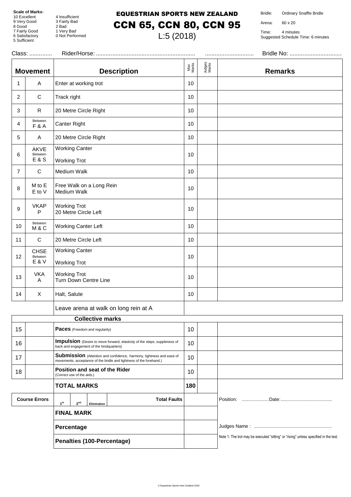9 Very Good<br>8 Good 8 Good 2 Bad

5 Sufficient

4 Insufficient<br>3 Fairly Bad 7 Fairly Good 1 Very Bad 9 Fairly Bad<br>2 Bad<br>1 Very Bad<br>0 Not Performed

#### EQUESTRIAN SPORTS NEW ZEALAND CCN 65, CCN 80, CCN 95

L:5 (2018)

Bridle: Ordinary Snaffle Bridle

Arena: 60 x 20

|                | Class:                            |                                                                                                                                                    |              |                 |                                                                                      |  |
|----------------|-----------------------------------|----------------------------------------------------------------------------------------------------------------------------------------------------|--------------|-----------------|--------------------------------------------------------------------------------------|--|
|                | <b>Movement</b>                   | <b>Description</b>                                                                                                                                 | Max<br>Marks | Judges<br>Marks | <b>Remarks</b>                                                                       |  |
| 1              | Α                                 | Enter at working trot                                                                                                                              | 10           |                 |                                                                                      |  |
| 2              | $\mathbf C$                       | Track right                                                                                                                                        | 10           |                 |                                                                                      |  |
| 3              | $\mathsf{R}$                      | 20 Metre Circle Right                                                                                                                              | 10           |                 |                                                                                      |  |
| 4              | Between<br><b>F&amp;A</b>         | Canter Right                                                                                                                                       | 10           |                 |                                                                                      |  |
| 5              | A                                 | 20 Metre Circle Right                                                                                                                              | 10           |                 |                                                                                      |  |
| 6              | AKVE<br>Between<br><b>E&amp;S</b> | <b>Working Canter</b><br><b>Working Trot</b>                                                                                                       | 10           |                 |                                                                                      |  |
| $\overline{7}$ | $\mathbf C$                       | Medium Walk                                                                                                                                        | 10           |                 |                                                                                      |  |
| 8              | M to E<br>E to V                  | Free Walk on a Long Rein<br>Medium Walk                                                                                                            | 10           |                 |                                                                                      |  |
| 9              | <b>VKAP</b><br>P                  | <b>Working Trot</b><br>20 Metre Circle Left                                                                                                        | 10           |                 |                                                                                      |  |
| 10             | Between<br>M&C                    | <b>Working Canter Left</b>                                                                                                                         | 10           |                 |                                                                                      |  |
| 11             | $\mathbf C$                       | 20 Metre Circle Left                                                                                                                               | 10           |                 |                                                                                      |  |
| 12             | <b>CHSE</b><br>Between<br>E & V   | <b>Working Canter</b><br><b>Working Trot</b>                                                                                                       | 10           |                 |                                                                                      |  |
| 13             | <b>VKA</b><br>A                   | <b>Working Trot</b><br>Turn Down Centre Line                                                                                                       | 10           |                 |                                                                                      |  |
| 14             | X                                 | Halt, Salute                                                                                                                                       | 10           |                 |                                                                                      |  |
|                |                                   | Leave arena at walk on long rein at A                                                                                                              |              |                 |                                                                                      |  |
|                |                                   | <b>Collective marks</b>                                                                                                                            |              |                 |                                                                                      |  |
| 15             |                                   | Paces (Freedom and regularity)                                                                                                                     | 10           |                 |                                                                                      |  |
| 16             |                                   | Impulsion (Desire to move forward, elasticity of the steps, suppleness of<br>back and engagement of the hindquarters)                              | 10           |                 |                                                                                      |  |
| 17             |                                   | <b>Submission</b> (Attention and confidence, harmony, lightness and ease of<br>movements, acceptance of the bridle and lightness of the forehand.) | 10           |                 |                                                                                      |  |
| 18             |                                   | Position and seat of the Rider<br>(Correct use of the aids.)                                                                                       | 10           |                 |                                                                                      |  |
|                |                                   | <b>TOTAL MARKS</b>                                                                                                                                 | 180          |                 |                                                                                      |  |
|                | <b>Course Errors</b>              | <b>Total Faults</b><br>1 <sup>st</sup><br>2 <sup>nd</sup><br>Elimination                                                                           |              |                 |                                                                                      |  |
|                |                                   | <b>FINAL MARK</b>                                                                                                                                  |              |                 |                                                                                      |  |
|                |                                   | Percentage                                                                                                                                         |              |                 |                                                                                      |  |
|                |                                   | Penalties (100-Percentage)                                                                                                                         |              |                 | Note 1: The trot may be executed "sitting" or "rising" unless specified in the test. |  |
|                |                                   |                                                                                                                                                    |              |                 |                                                                                      |  |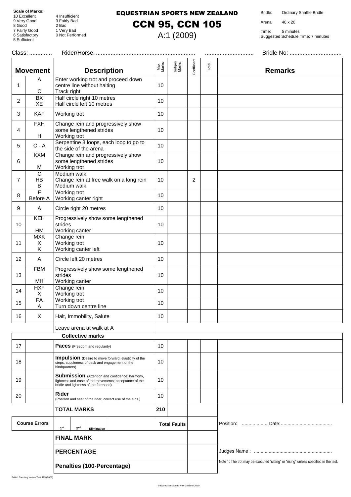8 Good 2 Bad

5 Sufficient

4 Insufficient 9 Very Good 3 Fairly Bad 7 Fairly Good 1 Very Bad 4 Insulficient<br>3 Fairly Bad<br>2 Bad<br>1 Very Bad<br>0 Not Performed

#### EQUESTRIAN SPORTS NEW ZEALAND

### CCN 95, CCN 105

A:1 (2009)

Bridle: Ordinary Snaffle Bridle

Arena: 40 x 20

| Class: |                            |                                                                                                                                                   |                 |                     |             |                                                                                      |                |
|--------|----------------------------|---------------------------------------------------------------------------------------------------------------------------------------------------|-----------------|---------------------|-------------|--------------------------------------------------------------------------------------|----------------|
|        | <b>Movement</b>            | <b>Description</b>                                                                                                                                | Max<br>Marks    | Judges<br>Marks     | Coefficient | Total                                                                                | <b>Remarks</b> |
| 1      | A<br>C                     | Enter working trot and proceed down<br>centre line without halting<br>Track right                                                                 | 10 <sup>1</sup> |                     |             |                                                                                      |                |
| 2      | $\overline{BX}$<br>XE      | Half circle right 10 metres<br>Half circle left 10 metres                                                                                         | 10              |                     |             |                                                                                      |                |
| 3      | <b>KAF</b>                 | Working trot                                                                                                                                      | 10              |                     |             |                                                                                      |                |
| 4      | <b>FXH</b><br>Н            | Change rein and progressively show<br>some lengthened strides<br>Working trot                                                                     | 10              |                     |             |                                                                                      |                |
| 5      | $C - A$                    | Serpentine 3 loops, each loop to go to<br>the side of the arena                                                                                   | 10              |                     |             |                                                                                      |                |
| 6      | <b>KXM</b><br>M            | Change rein and progressively show<br>some lengthened strides<br>Working trot                                                                     | 10 <sup>1</sup> |                     |             |                                                                                      |                |
| 7      | $\mathsf{C}$<br>HB<br>B    | Medium walk<br>Change rein at free walk on a long rein<br>Medium walk                                                                             | 10              |                     | 2           |                                                                                      |                |
| 8      | F<br>Before A              | Working trot<br>Working canter right                                                                                                              | 10 <sup>1</sup> |                     |             |                                                                                      |                |
| 9      | A                          | Circle right 20 metres                                                                                                                            | 10              |                     |             |                                                                                      |                |
| 10     | KEH<br>HM                  | Progressively show some lengthened<br>strides<br>Working canter                                                                                   | 10 <sup>1</sup> |                     |             |                                                                                      |                |
| 11     | <b>MXK</b><br>X<br>Κ       | Change rein<br>Working trot<br>Working canter left                                                                                                | 10              |                     |             |                                                                                      |                |
| 12     | A                          | Circle left 20 metres                                                                                                                             | 10              |                     |             |                                                                                      |                |
| 13     | <b>FBM</b><br>MН           | Progressively show some lengthened<br>strides<br>Working canter                                                                                   | 10              |                     |             |                                                                                      |                |
| 14     | <b>HXF</b><br>X            | Change rein<br>Working trot                                                                                                                       | 10              |                     |             |                                                                                      |                |
| 15     | <b>FA</b><br>A             | Working trot<br>Turn down centre line                                                                                                             | 10              |                     |             |                                                                                      |                |
| 16     | $\mathsf X$                | Halt, Immobility, Salute                                                                                                                          | 10              |                     |             |                                                                                      |                |
|        |                            | Leave arena at walk at A                                                                                                                          |                 |                     |             |                                                                                      |                |
|        |                            | <b>Collective marks</b>                                                                                                                           |                 |                     |             |                                                                                      |                |
| 17     |                            | Paces (Freedom and regularity)                                                                                                                    | 10              |                     |             |                                                                                      |                |
| 18     |                            | <b>Impulsion</b> (Desire to move forward, elasticity of the<br>steps, suppleness of back and engagement of the<br>hindquarters)                   | 10              |                     |             |                                                                                      |                |
| 19     |                            | Submission (Attention and confidence; harmony,<br>lightness and ease of the movements; acceptance of the<br>bridle and lightness of the forehand) | 10              |                     |             |                                                                                      |                |
| 20     |                            | Rider<br>(Position and seat of the rider, correct use of the aids.)                                                                               | 10              |                     |             |                                                                                      |                |
|        |                            | <b>TOTAL MARKS</b>                                                                                                                                | 210             |                     |             |                                                                                      |                |
|        | <b>Course Errors</b>       | 1 <sup>st</sup><br>2 <sup>nd</sup><br>Elimination                                                                                                 |                 | <b>Total Faults</b> |             |                                                                                      |                |
|        |                            | <b>FINAL MARK</b>                                                                                                                                 |                 |                     |             |                                                                                      |                |
|        |                            | <b>PERCENTAGE</b>                                                                                                                                 |                 |                     |             |                                                                                      |                |
|        | Penalties (100-Percentage) |                                                                                                                                                   |                 |                     |             | Note 1: The trot may be executed "sitting" or "rising" unless specified in the test. |                |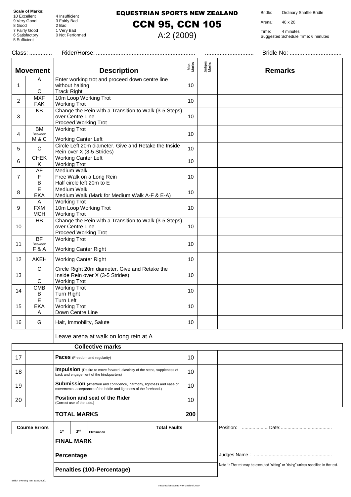8 Good 2 Bad

5 Sufficient

4 Insufficient 9 Very Good 3 Fairly Bad 7 Fairly Good 1 Very Bad 4 Insulficient<br>3 Fairly Bad<br>2 Bad<br>1 Very Bad<br>0 Not Performed

#### EQUESTRIAN SPORTS NEW ZEALAND

### CCN 95, CCN 105

A:2 (2009)

Bridle: Ordinary Snaffle Bridle

Arena: 40 x 20

| Class:         |                                 |                                                                                                                                                    |              |                 |                                                                                      |
|----------------|---------------------------------|----------------------------------------------------------------------------------------------------------------------------------------------------|--------------|-----------------|--------------------------------------------------------------------------------------|
|                | <b>Movement</b>                 | <b>Description</b>                                                                                                                                 | Max<br>Marks | Judges<br>Marks | <b>Remarks</b>                                                                       |
| 1              | A<br>C                          | Enter working trot and proceed down centre line<br>without halting<br><b>Track Right</b>                                                           | 10           |                 |                                                                                      |
| $\overline{2}$ | <b>MXF</b><br><b>FAK</b>        | 10m Loop Working Trot<br><b>Working Trot</b>                                                                                                       | 10           |                 |                                                                                      |
| 3              | KB                              | Change the Rein with a Transition to Walk (3-5 Steps)<br>over Centre Line<br>Proceed Working Trot                                                  | 10           |                 |                                                                                      |
| 4              | <b>BM</b><br>Between<br>M&C     | <b>Working Trot</b><br><b>Working Canter Left</b>                                                                                                  | 10           |                 |                                                                                      |
| 5              | $\mathbf C$                     | Circle Left 20m diameter. Give and Retake the Inside<br>Rein over X (3-5 Strides)                                                                  | 10           |                 |                                                                                      |
| 6              | <b>CHEK</b><br>Κ                | <b>Working Canter Left</b><br><b>Working Trot</b>                                                                                                  | 10           |                 |                                                                                      |
| $\overline{7}$ | AF<br>F<br>В                    | Medium Walk<br>Free Walk on a Long Rein<br>Half circle left 20m to E                                                                               | 10           |                 |                                                                                      |
| 8              | E<br><b>EKA</b>                 | <b>Medium Walk</b><br>Medium Walk (Mark for Medium Walk A-F & E-A)                                                                                 | 10           |                 |                                                                                      |
| 9              | A<br><b>FXM</b><br><b>MCH</b>   | <b>Working Trot</b><br>10m Loop Working Trot<br><b>Working Trot</b>                                                                                | 10           |                 |                                                                                      |
| 10             | HB                              | Change the Rein with a Transition to Walk (3-5 Steps)<br>over Centre Line<br>Proceed Working Trot                                                  | 10           |                 |                                                                                      |
| 11             | BF<br>Between<br><b>F&amp;A</b> | <b>Working Trot</b>                                                                                                                                | 10           |                 |                                                                                      |
| 12             | AKEH                            | <b>Working Canter Right</b><br><b>Working Canter Right</b>                                                                                         | 10           |                 |                                                                                      |
| 13             | $\overline{C}$<br>С             | Circle Right 20m diameter. Give and Retake the<br>Inside Rein over X (3-5 Strides)<br><b>Working Trot</b>                                          | 10           |                 |                                                                                      |
| 14             | <b>CMB</b><br>Β                 | <b>Working Trot</b><br>Turn Right                                                                                                                  | 10           |                 |                                                                                      |
| 15             | E<br><b>EKA</b><br>Α            | <b>Turn Left</b><br><b>Working Trot</b><br>Down Centre Line                                                                                        | 10           |                 |                                                                                      |
| 16             | G                               | Halt, Immobility, Salute                                                                                                                           | 10           |                 |                                                                                      |
|                |                                 | Leave arena at walk on long rein at A                                                                                                              |              |                 |                                                                                      |
|                |                                 | <b>Collective marks</b>                                                                                                                            |              |                 |                                                                                      |
| 17             |                                 | <b>Paces</b> (Freedom and regularity)                                                                                                              | 10           |                 |                                                                                      |
| 18             |                                 | Impulsion (Desire to move forward, elasticity of the steps, suppleness of<br>back and engagement of the hindquarters)                              | 10           |                 |                                                                                      |
| 19             |                                 | <b>Submission</b> (Attention and confidence, harmony, lightness and ease of<br>movements, acceptance of the bridle and lightness of the forehand.) | 10           |                 |                                                                                      |
| 20             |                                 | Position and seat of the Rider<br>(Correct use of the aids.)                                                                                       | 10           |                 |                                                                                      |
|                |                                 | <b>TOTAL MARKS</b>                                                                                                                                 | 200          |                 |                                                                                      |
|                | <b>Course Errors</b>            | <b>Total Faults</b><br>1 <sup>st</sup><br>2 <sup>nd</sup><br>Elimination                                                                           |              |                 |                                                                                      |
|                |                                 | <b>FINAL MARK</b>                                                                                                                                  |              |                 |                                                                                      |
|                |                                 | Percentage                                                                                                                                         |              |                 |                                                                                      |
|                |                                 | Penalties (100-Percentage)                                                                                                                         |              |                 | Note 1: The trot may be executed "sitting" or "rising" unless specified in the test. |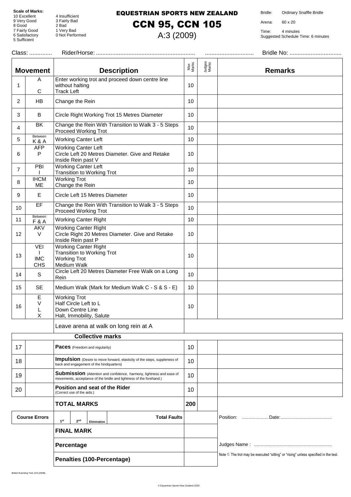8 Good 2 Bad

5 Sufficient

4 Insufficient 9 Very Good 3 Fairly Bad 7 Fairly Good 1 Very Bad 4 Insulficient<br>3 Fairly Bad<br>2 Bad<br>1 Very Bad<br>0 Not Performed

#### EQUESTRIAN SPORTS NEW ZEALAND

### CCN 95, CCN 105

A:3 (2009)

Bridle: Ordinary Snaffle Bridle

Arena: 60 x 20

Time: 4 minutes Suggested Schedule Time: 6 minutes

| Class: |                                        |                                                                                                                                                    |                 |                 |                                                                                      |  |
|--------|----------------------------------------|----------------------------------------------------------------------------------------------------------------------------------------------------|-----------------|-----------------|--------------------------------------------------------------------------------------|--|
|        | <b>Movement</b>                        | <b>Description</b>                                                                                                                                 | Max<br>Marks    | Judges<br>Marks | <b>Remarks</b>                                                                       |  |
| 1      | A<br>С                                 | Enter working trot and proceed down centre line<br>without halting<br><b>Track Left</b>                                                            | 10              |                 |                                                                                      |  |
| 2      | <b>HB</b>                              | Change the Rein                                                                                                                                    | 10              |                 |                                                                                      |  |
| 3      | B                                      | Circle Right Working Trot 15 Metres Diameter                                                                                                       | 10              |                 |                                                                                      |  |
| 4      | BK                                     | Change the Rein With Transition to Walk 3 - 5 Steps<br>Proceed Working Trot                                                                        | 10 <sup>°</sup> |                 |                                                                                      |  |
| 5      | Between<br>K&A                         | <b>Working Canter Left</b>                                                                                                                         | 10              |                 |                                                                                      |  |
| 6      | <b>AFP</b><br>P                        | <b>Working Canter Left</b><br>Circle Left 20 Metres Diameter. Give and Retake<br>Inside Rein past V                                                | 10              |                 |                                                                                      |  |
| 7      | PBI                                    | <b>Working Canter Left</b><br><b>Transition to Working Trot</b>                                                                                    | 10              |                 |                                                                                      |  |
| 8      | <b>IHCM</b><br><b>ME</b>               | <b>Working Trot</b><br>Change the Rein                                                                                                             | 10              |                 |                                                                                      |  |
| 9      | E                                      | Circle Left 15 Metres Diameter                                                                                                                     | 10              |                 |                                                                                      |  |
| 10     | EF                                     | Change the Rein With Transition to Walk 3 - 5 Steps<br>Proceed Working Trot                                                                        | 10              |                 |                                                                                      |  |
| 11     | Between<br><b>F&amp;A</b>              | <b>Working Canter Right</b>                                                                                                                        | 10              |                 |                                                                                      |  |
| 12     | <b>AKV</b><br>V                        | <b>Working Canter Right</b><br>Circle Right 20 Metres Diameter. Give and Retake<br>Inside Rein past P                                              | 10              |                 |                                                                                      |  |
| 13     | <b>VEI</b><br><b>IMC</b><br><b>CHS</b> | <b>Working Canter Right</b><br>Transition to Working Trot<br><b>Working Trot</b><br>Medium Walk                                                    | 10              |                 |                                                                                      |  |
| 14     | $\mathsf S$                            | Circle Left 20 Metres Diameter Free Walk on a Long<br>Rein                                                                                         | 10              |                 |                                                                                      |  |
| 15     | <b>SE</b>                              | Medium Walk (Mark for Medium Walk C - S & S - E)                                                                                                   | 10 <sup>°</sup> |                 |                                                                                      |  |
| 16     | Е<br>V<br>L<br>X                       | <b>Working Trot</b><br>Half Circle Left to L<br>Down Centre Line<br>Halt, Immobility, Salute                                                       | 10              |                 |                                                                                      |  |
|        |                                        | Leave arena at walk on long rein at A                                                                                                              |                 |                 |                                                                                      |  |
|        |                                        | <b>Collective marks</b>                                                                                                                            |                 |                 |                                                                                      |  |
| 17     |                                        | <b>Paces</b> (Freedom and regularity)                                                                                                              | 10              |                 |                                                                                      |  |
| 18     |                                        | Impulsion (Desire to move forward, elasticity of the steps, suppleness of<br>back and engagement of the hindquarters)                              | 10              |                 |                                                                                      |  |
| 19     |                                        | <b>Submission</b> (Attention and confidence, harmony, lightness and ease of<br>movements, acceptance of the bridle and lightness of the forehand.) | 10              |                 |                                                                                      |  |
| 20     |                                        | Position and seat of the Rider<br>(Correct use of the aids.)                                                                                       | 10              |                 |                                                                                      |  |
|        |                                        | <b>TOTAL MARKS</b>                                                                                                                                 | 200             |                 |                                                                                      |  |
|        | <b>Course Errors</b>                   | <b>Total Faults</b><br>1 <sup>st</sup><br>2 <sup>nd</sup><br>Elimination                                                                           |                 |                 |                                                                                      |  |
|        |                                        | <b>FINAL MARK</b>                                                                                                                                  |                 |                 |                                                                                      |  |
|        |                                        | Percentage                                                                                                                                         |                 |                 |                                                                                      |  |
|        |                                        | Penalties (100-Percentage)                                                                                                                         |                 |                 | Note 1: The trot may be executed "sitting" or "rising" unless specified in the test. |  |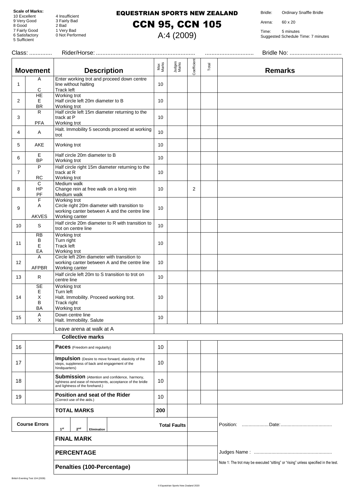8 Good 2 Bad

5 Sufficient

4 Insufficient 9 Very Good 3 Fairly Bad 7 Fairly Good 1 Very Bad 4 Insulficient<br>3 Fairly Bad<br>2 Bad<br>1 Very Bad<br>0 Not Performed

#### EQUESTRIAN SPORTS NEW ZEALAND

CCN 95, CCN 105

A:4 (2009)

Bridle: Ordinary Snaffle Bridle

Arena: 60 x 20

|                            | Class:                         |                                                                                                                                                |                  |                 |                |       |                                                                                      |
|----------------------------|--------------------------------|------------------------------------------------------------------------------------------------------------------------------------------------|------------------|-----------------|----------------|-------|--------------------------------------------------------------------------------------|
|                            | <b>Movement</b>                | <b>Description</b>                                                                                                                             | Max<br>Marks     | Judges<br>Marks | Coefficient    | Total | <b>Remarks</b>                                                                       |
| 1                          | Α<br>С                         | Enter working trot and proceed down centre<br>line without halting<br>Track left                                                               | 10               |                 |                |       |                                                                                      |
| 2                          | HE<br>E<br><b>BR</b>           | Working trot<br>Half circle left 20m diameter to B<br>Working trot                                                                             | 10               |                 |                |       |                                                                                      |
| 3                          | R.<br>PFA                      | Half circle left 15m diameter returning to the<br>track at P<br>Working trot                                                                   | 10               |                 |                |       |                                                                                      |
| 4                          | A                              | Halt. Immobility 5 seconds proceed at working<br>trot                                                                                          | 10               |                 |                |       |                                                                                      |
| 5                          | AKE                            | Working trot                                                                                                                                   | 10               |                 |                |       |                                                                                      |
| 6                          | Ε<br><b>BP</b>                 | Half circle 20m diameter to B<br>Working trot                                                                                                  | 10               |                 |                |       |                                                                                      |
| 7                          | P<br>RC                        | Half circle right 15m diameter returning to the<br>track at R<br>Working trot                                                                  | 10               |                 |                |       |                                                                                      |
| 8                          | C<br>HP<br>PF                  | Medium walk<br>Change rein at free walk on a long rein<br>Medium walk                                                                          | 10               |                 | $\overline{2}$ |       |                                                                                      |
| 9                          | F<br>A<br><b>AKVES</b>         | Working trot<br>Circle right 20m diameter with transition to<br>working canter between A and the centre line<br>Working canter                 | 10               |                 |                |       |                                                                                      |
| 10                         | S                              | Half circle 20m diameter to R with transition to<br>trot on centre line                                                                        | 10 <sup>1</sup>  |                 |                |       |                                                                                      |
| 11                         | <b>RB</b><br>B<br>Е<br>EA      | Working trot<br>Turn right<br>Track left<br>Working trot                                                                                       | 10               |                 |                |       |                                                                                      |
| 12                         | Α<br><b>AFPBR</b>              | Circle left 20m diameter with transition to<br>working canter between A and the centre line<br>Working canter                                  | 10               |                 |                |       |                                                                                      |
| 13                         | $\mathsf{R}$                   | Half circle left 20m to S transition to trot on<br>centre line                                                                                 | 10 <sup>10</sup> |                 |                |       |                                                                                      |
| 14                         | SE<br>Е<br>X<br>B<br><b>BA</b> | Working trot<br>Turn left<br>Halt. Immobility. Proceed working trot.<br>Track right<br>Working trot                                            | 10               |                 |                |       |                                                                                      |
| 15                         | A<br>X                         | Down centre line<br>Halt. Immobility. Salute                                                                                                   | 10               |                 |                |       |                                                                                      |
|                            |                                | Leave arena at walk at A                                                                                                                       |                  |                 |                |       |                                                                                      |
|                            |                                | <b>Collective marks</b>                                                                                                                        |                  |                 |                |       |                                                                                      |
| 16                         |                                | <b>Paces</b> (Freedom and regularity)                                                                                                          | 10               |                 |                |       |                                                                                      |
| 17                         |                                | <b>Impulsion</b> (Desire to move forward, elasticity of the<br>steps, suppleness of back and engagement of the<br>hindquarters)                | 10               |                 |                |       |                                                                                      |
| 18                         |                                | Submission (Attention and confidence, harmony,<br>lightness and ease of movements, acceptance of the bridle<br>and lightness of the forehand.) | 10               |                 |                |       |                                                                                      |
| 19                         |                                | Position and seat of the Rider<br>(Correct use of the aids.)                                                                                   | 10               |                 |                |       |                                                                                      |
|                            |                                | <b>TOTAL MARKS</b>                                                                                                                             | 200              |                 |                |       |                                                                                      |
|                            | <b>Course Errors</b>           | <b>Total Faults</b><br>1 <sup>st</sup><br>2 <sup>nd</sup><br>Elimination                                                                       |                  |                 |                |       |                                                                                      |
|                            |                                | <b>FINAL MARK</b>                                                                                                                              |                  |                 |                |       |                                                                                      |
|                            |                                | <b>PERCENTAGE</b>                                                                                                                              |                  |                 |                |       |                                                                                      |
| Penalties (100-Percentage) |                                |                                                                                                                                                |                  |                 |                |       | Note 1: The trot may be executed "sitting" or "rising" unless specified in the test. |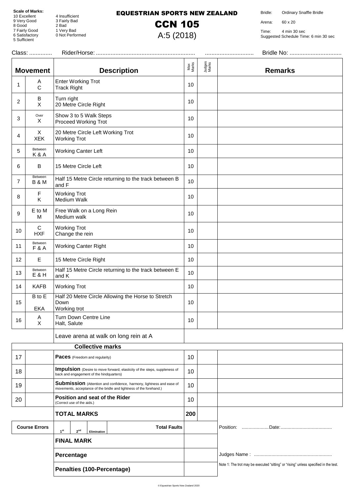8 Good 2 Bad

5 Sufficient

10 Excellent 4 Insufficient 9 Very Good 3 Fairly Bad 7 Fairly Good 1 Very Bad 6 Satisfactory 0 Not Performed

#### EQUESTRIAN SPORTS NEW ZEALAND

CCN 105

A:5 (2018)

Bridle: Ordinary Snaffle Bridle

Arena: 60 x 20

Time: 4 min 30 sec Suggested Schedule Time: 6 min 30 sec

|    | Class:                     |                                                                                                                                             |              |                 |                                                                                      |
|----|----------------------------|---------------------------------------------------------------------------------------------------------------------------------------------|--------------|-----------------|--------------------------------------------------------------------------------------|
|    | <b>Movement</b>            | <b>Description</b>                                                                                                                          | Max<br>Marks | Judges<br>Marks | <b>Remarks</b>                                                                       |
| 1  | A<br>$\mathsf C$           | <b>Enter Working Trot</b><br><b>Track Right</b>                                                                                             | 10           |                 |                                                                                      |
| 2  | B<br>X                     | Turn right<br>20 Metre Circle Right                                                                                                         | 10           |                 |                                                                                      |
| 3  | Over<br>X                  | Show 3 to 5 Walk Steps<br>Proceed Working Trot                                                                                              | 10           |                 |                                                                                      |
| 4  | X<br><b>XEK</b>            | 20 Metre Circle Left Working Trot<br><b>Working Trot</b>                                                                                    | 10           |                 |                                                                                      |
| 5  | Between<br>K&A             | <b>Working Canter Left</b>                                                                                                                  | 10           |                 |                                                                                      |
| 6  | B                          | 15 Metre Circle Left                                                                                                                        | 10           |                 |                                                                                      |
| 7  | Between<br><b>B&amp;M</b>  | Half 15 Metre Circle returning to the track between B<br>and F                                                                              | 10           |                 |                                                                                      |
| 8  | $\mathsf F$<br>Κ           | <b>Working Trot</b><br>Medium Walk                                                                                                          | 10           |                 |                                                                                      |
| 9  | E to M<br>M                | Free Walk on a Long Rein<br>Medium walk                                                                                                     | 10           |                 |                                                                                      |
| 10 | $\mathbf C$<br><b>HXF</b>  | <b>Working Trot</b><br>Change the rein                                                                                                      | 10           |                 |                                                                                      |
| 11 | Between<br><b>F&amp;A</b>  | Working Canter Right                                                                                                                        | 10           |                 |                                                                                      |
| 12 | Е                          | 15 Metre Circle Right                                                                                                                       | 10           |                 |                                                                                      |
| 13 | Between<br>E & H           | Half 15 Metre Circle returning to the track between E<br>and K                                                                              | 10           |                 |                                                                                      |
| 14 | <b>KAFB</b>                | <b>Working Trot</b>                                                                                                                         | 10           |                 |                                                                                      |
| 15 | B to E<br><b>EKA</b>       | Half 20 Metre Circle Allowing the Horse to Stretch<br>Down<br>Working trot                                                                  | 10           |                 |                                                                                      |
| 16 | A<br>X                     | Turn Down Centre Line<br>Halt, Salute                                                                                                       | 10           |                 |                                                                                      |
|    |                            | Leave arena at walk on long rein at A                                                                                                       |              |                 |                                                                                      |
|    |                            | <b>Collective marks</b>                                                                                                                     |              |                 |                                                                                      |
| 17 |                            | <b>Paces</b> (Freedom and regularity)                                                                                                       | 10           |                 |                                                                                      |
| 18 |                            | Impulsion (Desire to move forward, elasticity of the steps, suppleness of<br>back and engagement of the hindquarters)                       | 10           |                 |                                                                                      |
| 19 |                            | Submission (Attention and confidence, harmony, lightness and ease of<br>movements, acceptance of the bridle and lightness of the forehand.) | 10           |                 |                                                                                      |
| 20 |                            | Position and seat of the Rider<br>(Correct use of the aids.)                                                                                | 10           |                 |                                                                                      |
|    |                            | <b>TOTAL MARKS</b>                                                                                                                          | 200          |                 |                                                                                      |
|    | <b>Course Errors</b>       | <b>Total Faults</b><br>1 <sup>st</sup><br>2 <sup>nd</sup><br>Elimination                                                                    |              |                 |                                                                                      |
|    |                            | <b>FINAL MARK</b>                                                                                                                           |              |                 |                                                                                      |
|    | Percentage                 |                                                                                                                                             |              |                 |                                                                                      |
|    | Penalties (100-Percentage) |                                                                                                                                             |              |                 | Note 1: The trot may be executed "sitting" or "rising" unless specified in the test. |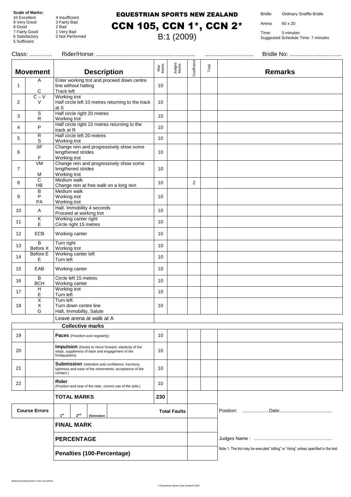#### EQUESTRIAN SPORTS NEW ZEALAND

Bridle: Ordinary Snaffle Bridle

Arena: 60 x 20

**Remarks**

Time: 5 minutes Suggested Schedule Time: 7 minutes

**Scale of Marks:**<br>10 Excellent 10 Excellent 4 Insufficient<br>9 Very Good 3 Fairly Bad 3 Fairly Bad<br>2 Bad 8 Good 2 Bad<br>
7 Fairly Good 1 Very Bad 7 Fairly Good<br>6 Satisfactory 0 Not Performed 5 Sufficient CCN 105, CCN 1\*, CCN 2\* B:1 (2009) Class: .............. Rider/Horse: ............................................................. .............................. Bridle No: ................................ **Movement Description** Max Marks Judges Marks Coefficie Total 1 A C Enter working trot and proceed down centre line without halting Track left 10 2  $C - V$ V Working trot Half circle left 10 metres returning to the track at S 10 3 S R Half circle right 20 metres Hall clicle light 20 metres<br>Working trot 10 4 P Half circle right 10 metres returning to the  $\begin{bmatrix} 10 \end{bmatrix}$ 5 R S Half circle left 20 metres Trail clicle left 20 metres<br>Working trot 10 6 SF F Change rein and progressively show some lengthened strides Working trot 10 7 VM M Change rein and progressively show some lengthened strides Working trot 10 8 C HB Medium walk Medium walk<br>Change rein at free walk on a long rein 10 | 2 9 B P PA Medium walk Working trot Working trot 10 10 A Halt. Immobility 4 seconds Halt. Immobility 4 seconds<br>Proceed at working trot 10  $\overline{11}$  K E Working canter right volking canter right to the 10 metres 10 metres 10 metres 10 metres 10 metres 10 metabolism and 10 metabolism of the 10 metres 10 metabolism and 10 metres 10 metabolism and 10 metres 10 metres 10 metres 10 metres 10 metres 12 ECB Working canter 10  $\begin{array}{c|c}\n 13 & \text{Before X}\n\end{array}$ Turn right Turn right<br>Working trot 10 14 Before E E Working canter left Turn left <sup>10</sup> 15 | EAB | Working canter | 10  $16$  B<br>BCH Circle left 15 metres Circle left 15 metres<br>Working canter 10  $\frac{1}{17}$  H E Working trot vvorking trot<br>Turn left 10 18 X X G Turn left Turn down centre line Halt, Immobility, Salute 10 Leave arena at walk at A **Collective marks** 19 **Paces** (Freedom and regularity) 10 20 **Impulsion** (Desire to move forward, elasticity of the steps, suppleness of back and engagement of the hindquarters) 10 21 **Submission** (Attention and confidence; harmony, lightness and ease of the movements; acceptance of the contact.) 10 <sup>22</sup> **Rider RIGET**<br>(Position and seat of the rider, correct use of the aids.) 10 **TOTAL MARKS 230**

**Course Errors 1**st  $2^{nd}$ **Elimination Total Faults** Position: ....................Date:...................................... **FINAL MARK PERCENTAGE** Judges Name : .......................................................... **Penalties (100-Percentage)** Note 1: The trot may be executed "sitting" or "rising" unless specified in the test.

British Eventing Novice Test 123 (2001)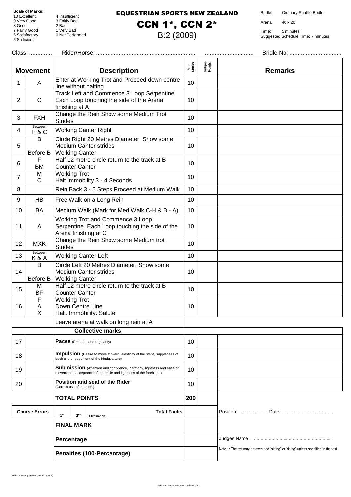8 Good 2 Bad

5 Sufficient

4 Insufficient 9 Very Good 3 Fairly Bad 7 Fairly Good 1 Very Bad 4 Insulficient<br>3 Fairly Bad<br>2 Bad<br>1 Very Bad<br>0 Not Performed

#### EQUESTRIAN SPORTS NEW ZEALAND

CCN 1\*, CCN 2\*

B:2 (2009)

Bridle: Ordinary Snaffle Bridle

Arena: 40 x 20

| Class:<br>Bridle No:       |                                                                                                  |                                                                                                                                             |              |                                                                                      |                |
|----------------------------|--------------------------------------------------------------------------------------------------|---------------------------------------------------------------------------------------------------------------------------------------------|--------------|--------------------------------------------------------------------------------------|----------------|
|                            | <b>Movement</b>                                                                                  | <b>Description</b>                                                                                                                          | Max<br>Marks | Judges<br>Points                                                                     | <b>Remarks</b> |
| 1                          | A                                                                                                | Enter at Working Trot and Proceed down centre<br>line without halting                                                                       | 10           |                                                                                      |                |
| $\overline{2}$             | $\mathsf{C}$                                                                                     | Track Left and Commence 3 Loop Serpentine.<br>Each Loop touching the side of the Arena<br>finishing at A                                    | 10           |                                                                                      |                |
| 3                          | <b>FXH</b>                                                                                       | Change the Rein Show some Medium Trot<br><b>Strides</b>                                                                                     | 10           |                                                                                      |                |
| 4                          | Between<br>H&C                                                                                   | <b>Working Canter Right</b>                                                                                                                 | 10           |                                                                                      |                |
| 5                          | B<br>Before B                                                                                    | Circle Right 20 Metres Diameter. Show some<br><b>Medium Canter strides</b><br><b>Working Canter</b>                                         | 10           |                                                                                      |                |
| 6                          | F<br>BM                                                                                          | Half 12 metre circle return to the track at B<br><b>Counter Canter</b>                                                                      | 10           |                                                                                      |                |
| $\overline{7}$             | M<br>$\mathsf{C}$                                                                                | <b>Working Trot</b><br>Halt Immobility 3 - 4 Seconds                                                                                        | 10           |                                                                                      |                |
| 8                          |                                                                                                  | Rein Back 3 - 5 Steps Proceed at Medium Walk                                                                                                | 10           |                                                                                      |                |
| 9                          | HB                                                                                               | Free Walk on a Long Rein                                                                                                                    | 10           |                                                                                      |                |
| 10                         | BA                                                                                               | Medium Walk (Mark for Med Walk C-H & B - A)                                                                                                 | 10           |                                                                                      |                |
| 11                         | A                                                                                                | Working Trot and Commence 3 Loop<br>Serpentine. Each Loop touching the side of the<br>Arena finishing at C                                  | 10           |                                                                                      |                |
| 12                         | <b>MXK</b>                                                                                       | Change the Rein Show some Medium trot<br><b>Strides</b>                                                                                     | 10           |                                                                                      |                |
| 13                         | Between<br>K & A                                                                                 | <b>Working Canter Left</b>                                                                                                                  | 10           |                                                                                      |                |
| 14                         | B<br>Before B                                                                                    | Circle Left 20 Metres Diameter. Show some<br><b>Medium Canter strides</b><br><b>Working Canter</b>                                          | 10           |                                                                                      |                |
| 15                         | M<br><b>BF</b>                                                                                   | Half 12 metre circle return to the track at B<br><b>Counter Canter</b>                                                                      | 10           |                                                                                      |                |
| 16                         | F<br>Α<br>X                                                                                      | <b>Working Trot</b><br>Down Centre Line<br>Halt. Immobility. Salute                                                                         | 10           |                                                                                      |                |
|                            |                                                                                                  | Leave arena at walk on long rein at A                                                                                                       |              |                                                                                      |                |
|                            |                                                                                                  | <b>Collective marks</b>                                                                                                                     |              |                                                                                      |                |
| 17                         |                                                                                                  | <b>Paces</b> (Freedom and regularity)                                                                                                       | 10           |                                                                                      |                |
| 18                         |                                                                                                  | Impulsion (Desire to move forward, elasticity of the steps, suppleness of<br>back and engagement of the hindquarters)                       | 10           |                                                                                      |                |
| 19                         |                                                                                                  | Submission (Attention and confidence, harmony, lightness and ease of<br>movements, acceptance of the bridle and lightness of the forehand.) | 10           |                                                                                      |                |
| 20                         |                                                                                                  | Position and seat of the Rider<br>(Correct use of the aids.)                                                                                | 10           |                                                                                      |                |
| <b>TOTAL POINTS</b>        |                                                                                                  | 200                                                                                                                                         |              |                                                                                      |                |
|                            | <b>Course Errors</b><br><b>Total Faults</b><br>1 <sup>st</sup><br>2 <sup>nd</sup><br>Elimination |                                                                                                                                             |              |                                                                                      |                |
|                            |                                                                                                  | <b>FINAL MARK</b>                                                                                                                           |              |                                                                                      |                |
|                            |                                                                                                  | Percentage                                                                                                                                  |              |                                                                                      |                |
| Penalties (100-Percentage) |                                                                                                  |                                                                                                                                             |              | Note 1: The trot may be executed "sitting" or "rising" unless specified in the test. |                |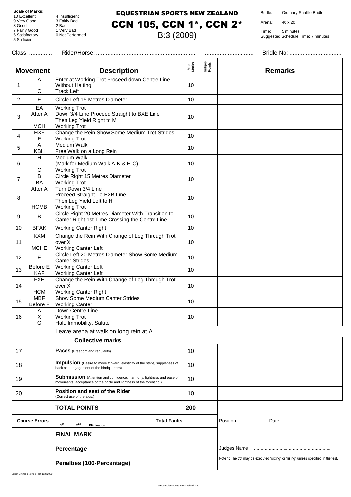8 Good 2 Bad

5 Sufficient

4 Insufficient 9 Very Good 3 Fairly Bad 7 Fairly Good 1 Very Bad 4 Insulficient<br>3 Fairly Bad<br>2 Bad<br>1 Very Bad<br>0 Not Performed

### EQUESTRIAN SPORTS NEW ZEALAND CCN 105, CCN 1\*, CCN 2\*

B:3 (2009)

Bridle: Ordinary Snaffle Bridle

Arena: 40 x 20

| Bridle No:<br>Class:<br>               |                                                                                                                                             |              |                  |                                                                                      |  |  |
|----------------------------------------|---------------------------------------------------------------------------------------------------------------------------------------------|--------------|------------------|--------------------------------------------------------------------------------------|--|--|
| <b>Movement</b>                        | <b>Description</b>                                                                                                                          | Max<br>Marks | Judges<br>Points | <b>Remarks</b>                                                                       |  |  |
| A<br>1<br>C                            | Enter at Working Trot Proceed down Centre Line<br><b>Without Halting</b><br><b>Track Left</b>                                               | 10           |                  |                                                                                      |  |  |
| $\mathsf E$<br>$\overline{2}$          | Circle Left 15 Metres Diameter                                                                                                              | 10           |                  |                                                                                      |  |  |
| EA<br>After A<br>3<br><b>MCH</b>       | <b>Working Trot</b><br>Down 3/4 Line Proceed Straight to BXE Line<br>Then Leg Yield Right to M<br><b>Working Trot</b>                       | 10           |                  |                                                                                      |  |  |
| <b>HXF</b><br>4<br>F                   | Change the Rein Show Some Medium Trot Strides<br><b>Working Trot</b>                                                                        | 10           |                  |                                                                                      |  |  |
| A<br>5<br><b>KBH</b>                   | <b>Medium Walk</b><br>Free Walk on a Long Rein                                                                                              | 10           |                  |                                                                                      |  |  |
| H<br>6<br>C                            | <b>Medium Walk</b><br>(Mark for Medium Walk A-K & H-C)<br><b>Working Trot</b>                                                               | 10           |                  |                                                                                      |  |  |
| $\overline{B}$<br>$\overline{7}$<br>BA | Circle Right 15 Metres Diameter<br><b>Working Trot</b>                                                                                      | 10           |                  |                                                                                      |  |  |
| After A<br>8<br><b>HCMB</b>            | Turn Down 3/4 Line<br>Proceed Straight To EXB Line<br>Then Leg Yield Left to H<br><b>Working Trot</b>                                       | 10           |                  |                                                                                      |  |  |
| 9<br>B                                 | Circle Right 20 Metres Diameter With Transition to<br>Canter Right 1st Time Crossing the Centre Line                                        | 10           |                  |                                                                                      |  |  |
| 10<br><b>BFAK</b>                      | <b>Working Canter Right</b>                                                                                                                 | 10           |                  |                                                                                      |  |  |
| <b>KXM</b><br>11<br><b>MCHE</b>        | Change the Rein With Change of Leg Through Trot<br>over X<br><b>Working Canter Left</b>                                                     | 10           |                  |                                                                                      |  |  |
| $\mathsf E$<br>12                      | Circle Left 20 Metres Diameter Show Some Medium<br><b>Canter Strides</b>                                                                    | 10           |                  |                                                                                      |  |  |
| Before E<br>13<br><b>KAF</b>           | <b>Working Canter Left</b><br><b>Working Canter Left</b>                                                                                    | 10           |                  |                                                                                      |  |  |
| <b>FXH</b><br>14<br><b>HCM</b>         | Change the Rein With Change of Leg Through Trot<br>over X<br><b>Working Canter Right</b>                                                    | 10           |                  |                                                                                      |  |  |
| <b>MBF</b><br>15<br>Before F           | <b>Show Some Medium Canter Strides</b><br><b>Working Canter</b>                                                                             | 10           |                  |                                                                                      |  |  |
| Α<br>$\mathsf X$<br>16<br>G            | Down Centre Line<br><b>Working Trot</b><br>Halt. Immobility. Salute                                                                         | 10           |                  |                                                                                      |  |  |
|                                        | Leave arena at walk on long rein at A                                                                                                       |              |                  |                                                                                      |  |  |
|                                        | <b>Collective marks</b>                                                                                                                     |              |                  |                                                                                      |  |  |
| 17                                     | Paces (Freedom and regularity)                                                                                                              | 10           |                  |                                                                                      |  |  |
| 18                                     | Impulsion (Desire to move forward, elasticity of the steps, suppleness of<br>back and engagement of the hindquarters)                       | 10           |                  |                                                                                      |  |  |
| 19                                     | Submission (Attention and confidence, harmony, lightness and ease of<br>movements, acceptance of the bridle and lightness of the forehand.) | 10           |                  |                                                                                      |  |  |
| 20                                     | Position and seat of the Rider<br>(Correct use of the aids.)                                                                                | 10           |                  |                                                                                      |  |  |
|                                        | <b>TOTAL POINTS</b>                                                                                                                         | 200          |                  |                                                                                      |  |  |
| <b>Course Errors</b>                   | <b>Total Faults</b><br>1 <sup>st</sup><br>2 <sup>nd</sup><br>Elimination                                                                    |              |                  |                                                                                      |  |  |
|                                        | <b>FINAL MARK</b>                                                                                                                           |              |                  |                                                                                      |  |  |
|                                        | Percentage                                                                                                                                  |              |                  |                                                                                      |  |  |
|                                        | Penalties (100-Percentage)                                                                                                                  |              |                  | Note 1: The trot may be executed "sitting" or "rising" unless specified in the test. |  |  |
|                                        |                                                                                                                                             |              |                  |                                                                                      |  |  |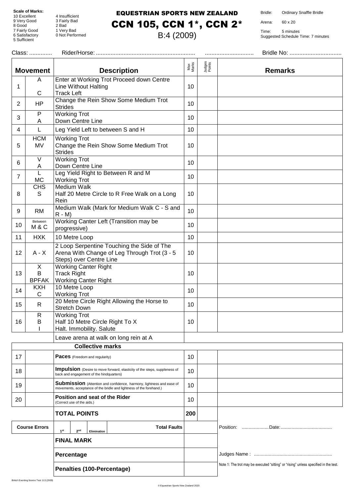8 Good 2 Bad

5 Sufficient

4 Insufficient 9 Very Good 3 Fairly Bad 7 Fairly Good 1 Very Bad 4 Insulficient<br>3 Fairly Bad<br>2 Bad<br>1 Very Bad<br>0 Not Performed

#### EQUESTRIAN SPORTS NEW ZEALAND CCN 105, CCN 1\*, CCN 2\*

B:4 (2009)

Bridle: Ordinary Snaffle Bridle

Arena: 60 x 20

| Class:                     |                                                                                                                                             |                                                                                                                                                                                                                                                                      |                  |                                                                                      |
|----------------------------|---------------------------------------------------------------------------------------------------------------------------------------------|----------------------------------------------------------------------------------------------------------------------------------------------------------------------------------------------------------------------------------------------------------------------|------------------|--------------------------------------------------------------------------------------|
| <b>Movement</b>            | <b>Description</b>                                                                                                                          | Max<br>Marks                                                                                                                                                                                                                                                         | Judges<br>Points | <b>Remarks</b>                                                                       |
| A                          | Enter at Working Trot Proceed down Centre<br><b>Line Without Halting</b>                                                                    | 10                                                                                                                                                                                                                                                                   |                  |                                                                                      |
| <b>HP</b>                  | Change the Rein Show Some Medium Trot<br><b>Strides</b>                                                                                     | 10                                                                                                                                                                                                                                                                   |                  |                                                                                      |
| P<br>A                     | <b>Working Trot</b><br>Down Centre Line                                                                                                     | 10                                                                                                                                                                                                                                                                   |                  |                                                                                      |
| L                          | Leg Yield Left to between S and H                                                                                                           | 10                                                                                                                                                                                                                                                                   |                  |                                                                                      |
| <b>HCM</b><br>MV           | <b>Working Trot</b><br>Change the Rein Show Some Medium Trot<br><b>Strides</b>                                                              | 10                                                                                                                                                                                                                                                                   |                  |                                                                                      |
| $\vee$<br>A                | <b>Working Trot</b><br>Down Centre Line                                                                                                     | 10                                                                                                                                                                                                                                                                   |                  |                                                                                      |
| L<br><b>MC</b>             | Leg Yield Right to Between R and M<br><b>Working Trot</b>                                                                                   | 10                                                                                                                                                                                                                                                                   |                  |                                                                                      |
| <b>CHS</b><br>S            | Medium Walk<br>Half 20 Metre Circle to R Free Walk on a Long<br>Rein                                                                        | 10                                                                                                                                                                                                                                                                   |                  |                                                                                      |
| <b>RM</b>                  | $R - M$                                                                                                                                     | 10                                                                                                                                                                                                                                                                   |                  |                                                                                      |
| Between<br>M & C           | progressive)                                                                                                                                | 10                                                                                                                                                                                                                                                                   |                  |                                                                                      |
| <b>HXK</b>                 | 10 Metre Loop                                                                                                                               | 10                                                                                                                                                                                                                                                                   |                  |                                                                                      |
| $A - X$                    | 2 Loop Serpentine Touching the Side of The<br>Arena With Change of Leg Through Trot (3 - 5                                                  | 10                                                                                                                                                                                                                                                                   |                  |                                                                                      |
| X<br>B<br><b>BPFAK</b>     | <b>Working Canter Right</b><br><b>Track Right</b><br><b>Working Canter Right</b>                                                            | 10                                                                                                                                                                                                                                                                   |                  |                                                                                      |
| <b>KXH</b><br>С            | 10 Metre Loop<br><b>Working Trot</b>                                                                                                        | 10                                                                                                                                                                                                                                                                   |                  |                                                                                      |
| R                          | 20 Metre Circle Right Allowing the Horse to<br><b>Stretch Down</b>                                                                          | 10                                                                                                                                                                                                                                                                   |                  |                                                                                      |
| $\mathsf{R}$<br>B          | Half 10 Metre Circle Right To X<br>Halt. Immobility. Salute                                                                                 | 10                                                                                                                                                                                                                                                                   |                  |                                                                                      |
|                            | Leave arena at walk on long rein at A                                                                                                       |                                                                                                                                                                                                                                                                      |                  |                                                                                      |
|                            |                                                                                                                                             |                                                                                                                                                                                                                                                                      |                  |                                                                                      |
|                            | <b>Paces</b> (Freedom and regularity)                                                                                                       | 10                                                                                                                                                                                                                                                                   |                  |                                                                                      |
|                            | back and engagement of the hindquarters)                                                                                                    | 10                                                                                                                                                                                                                                                                   |                  |                                                                                      |
|                            | Submission (Attention and confidence, harmony, lightness and ease of<br>movements, acceptance of the bridle and lightness of the forehand.) | 10                                                                                                                                                                                                                                                                   |                  |                                                                                      |
|                            | Position and seat of the Rider<br>(Correct use of the aids.)                                                                                | 10                                                                                                                                                                                                                                                                   |                  |                                                                                      |
|                            | <b>TOTAL POINTS</b>                                                                                                                         | 200                                                                                                                                                                                                                                                                  |                  |                                                                                      |
| <b>Course Errors</b>       | <b>Total Faults</b><br>1 <sup>st</sup><br>2 <sup>nd</sup><br>Elimination                                                                    |                                                                                                                                                                                                                                                                      |                  |                                                                                      |
|                            | <b>FINAL MARK</b>                                                                                                                           |                                                                                                                                                                                                                                                                      |                  |                                                                                      |
|                            | Percentage                                                                                                                                  |                                                                                                                                                                                                                                                                      |                  |                                                                                      |
| Penalties (100-Percentage) |                                                                                                                                             |                                                                                                                                                                                                                                                                      |                  | Note 1: The trot may be executed "sitting" or "rising" unless specified in the test. |
|                            | C                                                                                                                                           | <b>Track Left</b><br>Medium Walk (Mark for Medium Walk C - S and<br>Working Canter Left (Transition may be<br>Steps) over Centre Line<br><b>Working Trot</b><br><b>Collective marks</b><br>Impulsion (Desire to move forward, elasticity of the steps, suppleness of |                  |                                                                                      |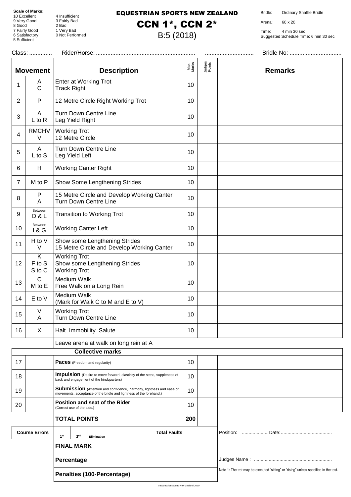8 Good 2 Bad

5 Sufficient

4 Insufficient 9 Very Good 3 Fairly Bad 7 Fairly Good 1 Very Bad 4 Insulficient<br>3 Fairly Bad<br>2 Bad<br>1 Very Bad<br>0 Not Performed

#### EQUESTRIAN SPORTS NEW ZEALAND CCN 1\*, CCN 2\*

B:5 (2018)

Bridle: Ordinary Snaffle Bridle

Arena: 60 x 20

Time: 4 min 30 sec Suggested Schedule Time: 6 min 30 sec

|                |                            |                 |                                            |                                          |                                                                                                                                             | Max<br>Marks    | Judges<br>Points |                |
|----------------|----------------------------|-----------------|--------------------------------------------|------------------------------------------|---------------------------------------------------------------------------------------------------------------------------------------------|-----------------|------------------|----------------|
|                | <b>Movement</b>            |                 |                                            |                                          | <b>Description</b>                                                                                                                          |                 |                  | <b>Remarks</b> |
| 1              | A<br>$\mathsf{C}$          |                 | <b>Track Right</b>                         | <b>Enter at Working Trot</b>             |                                                                                                                                             | 10              |                  |                |
| $\overline{2}$ | $\mathsf{P}$               |                 |                                            |                                          | 12 Metre Circle Right Working Trot                                                                                                          | 10              |                  |                |
| 3              | $\mathsf{A}$<br>$L$ to R   |                 | Leg Yield Right                            | <b>Turn Down Centre Line</b>             |                                                                                                                                             | 10 <sup>°</sup> |                  |                |
| $\overline{4}$ | <b>RMCHV</b><br>$\vee$     |                 | <b>Working Trot</b><br>12 Metre Circle     |                                          |                                                                                                                                             | 10              |                  |                |
| 5              | A<br>L to S                |                 | Leg Yield Left                             | Turn Down Centre Line                    |                                                                                                                                             | 10              |                  |                |
| 6              | H                          |                 |                                            | <b>Working Canter Right</b>              |                                                                                                                                             | 10              |                  |                |
| $\overline{7}$ | M to P                     |                 |                                            |                                          | Show Some Lengthening Strides                                                                                                               | 10              |                  |                |
| 8              | P<br>A                     |                 |                                            | Turn Down Centre Line                    | 15 Metre Circle and Develop Working Canter                                                                                                  | 10              |                  |                |
| 9              | Between<br>D & L           |                 |                                            | <b>Transition to Working Trot</b>        |                                                                                                                                             | 10              |                  |                |
| 10             | Between<br>1 & G           |                 |                                            | <b>Working Canter Left</b>               |                                                                                                                                             | 10              |                  |                |
| 11             | H to V<br>V                |                 |                                            |                                          | Show some Lengthening Strides<br>15 Metre Circle and Develop Working Canter                                                                 | 10 <sup>°</sup> |                  |                |
| 12             | K<br>F to S<br>S to C      |                 | <b>Working Trot</b><br><b>Working Trot</b> |                                          | Show some Lengthening Strides                                                                                                               | 10              |                  |                |
| 13             | $\mathsf{C}$<br>M to E     |                 | Medium Walk                                | Free Walk on a Long Rein                 |                                                                                                                                             | 10 <sup>°</sup> |                  |                |
| 14             | E to V                     |                 | Medium Walk                                |                                          | (Mark for Walk C to M and E to V)                                                                                                           | 10              |                  |                |
| 15             | ٧<br>Α                     |                 | <b>Working Trot</b>                        | Turn Down Centre Line                    |                                                                                                                                             | 10              |                  |                |
| 16             | X                          |                 |                                            | Halt. Immobility. Salute                 |                                                                                                                                             | 10              |                  |                |
|                |                            |                 |                                            |                                          | Leave arena at walk on long rein at A                                                                                                       |                 |                  |                |
|                |                            |                 |                                            | <b>Collective marks</b>                  |                                                                                                                                             |                 |                  |                |
| 17             |                            |                 |                                            | Paces (Freedom and regularity)           |                                                                                                                                             | 10              |                  |                |
| 18             |                            |                 |                                            | back and engagement of the hindquarters) | <b>Impulsion</b> (Desire to move forward, elasticity of the steps, suppleness of                                                            | 10              |                  |                |
| 19             |                            |                 |                                            |                                          | Submission (Attention and confidence, harmony, lightness and ease of<br>movements, acceptance of the bridle and lightness of the forehand.) | 10              |                  |                |
| 20             |                            |                 | (Correct use of the aids.)                 |                                          | Position and seat of the Rider                                                                                                              | 10              |                  |                |
|                |                            |                 | <b>TOTAL POINTS</b>                        |                                          |                                                                                                                                             | 200             |                  |                |
|                | <b>Course Errors</b>       | 1 <sup>st</sup> | 2 <sup>nd</sup>                            | Elimination                              | <b>Total Faults</b>                                                                                                                         |                 |                  |                |
|                |                            |                 | <b>FINAL MARK</b>                          |                                          |                                                                                                                                             |                 |                  |                |
|                |                            |                 | Percentage                                 |                                          |                                                                                                                                             |                 |                  |                |
|                | Penalties (100-Percentage) |                 |                                            |                                          | Note 1: The trot may be executed "sitting" or "rising" unless specified in the test.                                                        |                 |                  |                |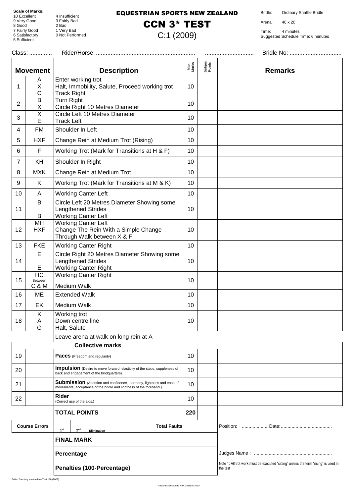8 Good 2 Bad

5 Sufficient

4 Insufficient 9 Very Good 3 Fairly Bad 7 Fairly Good 1 Very Bad 4 Insulficient<br>3 Fairly Bad<br>2 Bad<br>1 Very Bad<br>0 Not Performed

#### EQUESTRIAN SPORTS NEW ZEALAND

### CCN 3\* TEST

C:1 (2009)

Bridle: Ordinary Snaffle Bridle

Arena: 40 x 20

| Class:                     |                                    |                                                                                                                                                    |              |                                                                                                  |                |
|----------------------------|------------------------------------|----------------------------------------------------------------------------------------------------------------------------------------------------|--------------|--------------------------------------------------------------------------------------------------|----------------|
|                            | <b>Movement</b>                    | <b>Description</b>                                                                                                                                 | Max<br>Marks | Judges<br>Points                                                                                 | <b>Remarks</b> |
| 1                          | Α<br>Χ<br>Ċ                        | Enter working trot<br>Halt, Immobility, Salute, Proceed working trot<br><b>Track Right</b>                                                         | 10           |                                                                                                  |                |
| 2                          | $\mathsf B$<br>Χ                   | Turn Right<br>Circle Right 10 Metres Diameter                                                                                                      | 10           |                                                                                                  |                |
| 3                          | $\overline{\mathsf{X}}$<br>E       | Circle Left 10 Metres Diameter<br><b>Track Left</b>                                                                                                | 10           |                                                                                                  |                |
| 4                          | FM                                 | Shoulder In Left                                                                                                                                   | 10           |                                                                                                  |                |
| 5                          | <b>HXF</b>                         | Change Rein at Medium Trot (Rising)                                                                                                                | 10           |                                                                                                  |                |
| 6                          | F                                  | Working Trot (Mark for Transitions at H & F)                                                                                                       | 10           |                                                                                                  |                |
| 7                          | KH                                 | Shoulder In Right                                                                                                                                  | 10           |                                                                                                  |                |
| 8                          | <b>MXK</b>                         | Change Rein at Medium Trot                                                                                                                         | 10           |                                                                                                  |                |
| 9                          | K                                  | Working Trot (Mark for Transitions at M & K)                                                                                                       | 10           |                                                                                                  |                |
| 10                         | A                                  | <b>Working Canter Left</b>                                                                                                                         | 10           |                                                                                                  |                |
| 11                         | B<br>B                             | Circle Left 20 Metres Diameter Showing some<br><b>Lengthened Strides</b><br><b>Working Canter Left</b>                                             | 10           |                                                                                                  |                |
| 12                         | MH<br><b>HXF</b>                   | <b>Working Canter Left</b><br>Change The Rein With a Simple Change<br>Through Walk between X & F                                                   | 10           |                                                                                                  |                |
| 13                         | <b>FKE</b>                         | <b>Working Canter Right</b>                                                                                                                        | 10           |                                                                                                  |                |
| 14                         | E<br>Е                             | Circle Right 20 Metres Diameter Showing some<br><b>Lengthened Strides</b><br><b>Working Canter Right</b>                                           | 10           |                                                                                                  |                |
| 15                         | H <sub>C</sub><br>Between<br>C & M | <b>Working Canter Right</b><br>Medium Walk                                                                                                         | 10           |                                                                                                  |                |
| 16                         | ME                                 | <b>Extended Walk</b>                                                                                                                               | 10           |                                                                                                  |                |
| 17                         | EK                                 | Medium Walk                                                                                                                                        | 10           |                                                                                                  |                |
| 18                         | Κ<br>Α<br>G                        | Working trot<br>Down centre line<br>Halt, Salute                                                                                                   | 10           |                                                                                                  |                |
|                            |                                    | Leave arena at walk on long rein at A                                                                                                              |              |                                                                                                  |                |
|                            |                                    | <b>Collective marks</b>                                                                                                                            |              |                                                                                                  |                |
| 19                         |                                    | <b>Paces</b> (Freedom and regularity)                                                                                                              | 10           |                                                                                                  |                |
| 20                         |                                    | Impulsion (Desire to move forward, elasticity of the steps, suppleness of<br>back and engagement of the hindquarters)                              | 10           |                                                                                                  |                |
| 21                         |                                    | <b>Submission</b> (Attention and confidence, harmony, lightness and ease of<br>movements, acceptance of the bridle and lightness of the forehand.) | 10           |                                                                                                  |                |
| 22                         |                                    | Rider<br>(Correct use of the aids.)                                                                                                                | 10           |                                                                                                  |                |
|                            |                                    | <b>TOTAL POINTS</b>                                                                                                                                | 220          |                                                                                                  |                |
|                            | <b>Course Errors</b>               | <b>Total Faults</b><br>1 <sup>st</sup><br>2 <sup>nd</sup><br>Elimination                                                                           |              |                                                                                                  |                |
|                            |                                    | <b>FINAL MARK</b>                                                                                                                                  |              |                                                                                                  |                |
|                            |                                    | Percentage                                                                                                                                         |              |                                                                                                  |                |
| Penalties (100-Percentage) |                                    |                                                                                                                                                    |              | Note 1: All trot work must be executed "sitting" unless the term "rising" is used in<br>the test |                |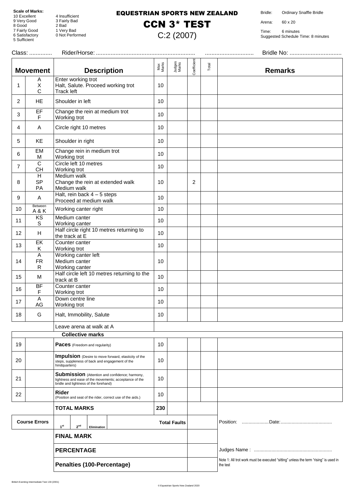8 Good 2 Bad

5 Sufficient

4 Insufficient 9 Very Good 3 Fairly Bad 7 Fairly Good 1 Very Bad 4 Insulficient<br>3 Fairly Bad<br>2 Bad<br>1 Very Bad<br>0 Not Performed

#### EQUESTRIAN SPORTS NEW ZEALAND

### CCN 3\* TEST

C:2 (2007)

Bridle: Ordinary Snaffle Bridle

Arena: 60 x 20

Time: 6 minutes Suggested Schedule Time: 8 minutes

| Class:                     |                                                                           |                                                                                                                                                          |                 |                     |             |       |                                                                                                  |
|----------------------------|---------------------------------------------------------------------------|----------------------------------------------------------------------------------------------------------------------------------------------------------|-----------------|---------------------|-------------|-------|--------------------------------------------------------------------------------------------------|
|                            | <b>Movement</b>                                                           | <b>Description</b>                                                                                                                                       | Max<br>Marks    | Judges<br>Marks     | Coefficient | Total | <b>Remarks</b>                                                                                   |
| 1                          | Α<br>X<br>$\mathsf C$                                                     | Enter working trot<br>Halt, Salute. Proceed working trot<br>Track left                                                                                   | 10              |                     |             |       |                                                                                                  |
| $\overline{c}$             | <b>HE</b>                                                                 | Shoulder in left                                                                                                                                         | 10              |                     |             |       |                                                                                                  |
| 3                          | EF<br>$\mathsf F$                                                         | Change the rein at medium trot<br>Working trot                                                                                                           | 10              |                     |             |       |                                                                                                  |
| 4                          | Α                                                                         | Circle right 10 metres                                                                                                                                   | 10              |                     |             |       |                                                                                                  |
| 5                          | KE                                                                        | Shoulder in right                                                                                                                                        | 10              |                     |             |       |                                                                                                  |
| 6                          | EM<br>M                                                                   | Change rein in medium trot<br>Working trot                                                                                                               | 10              |                     |             |       |                                                                                                  |
| $\overline{7}$             | $\overline{c}$<br><b>CH</b>                                               | Circle left 10 metres<br>Working trot                                                                                                                    | 10              |                     |             |       |                                                                                                  |
| 8                          | H<br><b>SP</b><br>PA                                                      | Medium walk<br>Change the rein at extended walk<br>Medium walk                                                                                           | 10              |                     | 2           |       |                                                                                                  |
| 9                          | A                                                                         | Halt, rein back $4 - 5$ steps<br>Proceed at medium walk                                                                                                  | 10              |                     |             |       |                                                                                                  |
| 10                         | Between<br>A&K                                                            | Working canter right                                                                                                                                     | 10              |                     |             |       |                                                                                                  |
| 11                         | KS<br>S                                                                   | Medium canter<br>Working canter                                                                                                                          | 10              |                     |             |       |                                                                                                  |
| 12                         | H                                                                         | Half circle right 10 metres returning to<br>the track at E                                                                                               | 10              |                     |             |       |                                                                                                  |
| 13                         | $E$ K<br>Κ                                                                | Counter canter<br>Working trot                                                                                                                           | 10              |                     |             |       |                                                                                                  |
| 14                         | $\overline{A}$<br><b>FR</b><br>R                                          | Working canter left<br>Medium canter<br>Working canter                                                                                                   | 10              |                     |             |       |                                                                                                  |
| 15                         | M                                                                         | Half circle left 10 metres returning to the<br>track at B                                                                                                | 10              |                     |             |       |                                                                                                  |
| 16                         | BF<br>F                                                                   | Counter canter<br>Working trot                                                                                                                           | 10              |                     |             |       |                                                                                                  |
| 17                         | A<br>AG                                                                   | Down centre line<br>Working trot                                                                                                                         | 10              |                     |             |       |                                                                                                  |
| $18$                       | G                                                                         | Halt, Immobility, Salute                                                                                                                                 | 10 <sup>1</sup> |                     |             |       |                                                                                                  |
|                            |                                                                           | Leave arena at walk at A                                                                                                                                 |                 |                     |             |       |                                                                                                  |
|                            |                                                                           | <b>Collective marks</b>                                                                                                                                  |                 |                     |             |       |                                                                                                  |
| 19                         |                                                                           | <b>Paces</b> (Freedom and regularity)                                                                                                                    | 10              |                     |             |       |                                                                                                  |
| 20                         |                                                                           | Impulsion (Desire to move forward, elasticity of the<br>steps, suppleness of back and engagement of the<br>hindquarters)                                 | 10              |                     |             |       |                                                                                                  |
| 21                         |                                                                           | <b>Submission</b> (Attention and confidence; harmony,<br>lightness and ease of the movements; acceptance of the<br>bridle and lightness of the forehand) | 10              |                     |             |       |                                                                                                  |
| 22                         |                                                                           | Rider<br>(Position and seat of the rider, correct use of the aids.)                                                                                      | 10              |                     |             |       |                                                                                                  |
|                            | <b>TOTAL MARKS</b>                                                        |                                                                                                                                                          | 230             |                     |             |       |                                                                                                  |
|                            | <b>Course Errors</b><br>2 <sup>nd</sup><br>1 <sup>st</sup><br>Elimination |                                                                                                                                                          |                 | <b>Total Faults</b> |             |       |                                                                                                  |
|                            |                                                                           | <b>FINAL MARK</b>                                                                                                                                        |                 |                     |             |       |                                                                                                  |
|                            |                                                                           | <b>PERCENTAGE</b>                                                                                                                                        |                 |                     |             |       |                                                                                                  |
| Penalties (100-Percentage) |                                                                           |                                                                                                                                                          |                 |                     |             |       | Note 1: All trot work must be executed "sitting" unless the term "rising" is used in<br>the test |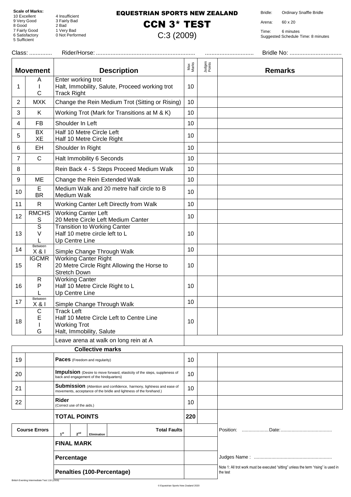8 Good 2 Bad

5 Sufficient

10 Excellent 4 Insufficient 9 Very Good 3 Fairly Bad 7 Fairly Good 1 Very Bad 6 Satisfactory 0 Not Performed

#### EQUESTRIAN SPORTS NEW ZEALAND

### CCN 3\* TEST

C:3 (2009)

Bridle: Ordinary Snaffle Bridle

Arena: 60 x 20

|                            | Class:                              |                                                                                                                                             |              |                                                                                                  |                |
|----------------------------|-------------------------------------|---------------------------------------------------------------------------------------------------------------------------------------------|--------------|--------------------------------------------------------------------------------------------------|----------------|
|                            | <b>Movement</b>                     | <b>Description</b>                                                                                                                          | Max<br>Marks | Judges<br>Points                                                                                 | <b>Remarks</b> |
| 1                          | A<br>C                              | Enter working trot<br>Halt, Immobility, Salute, Proceed working trot<br><b>Track Right</b>                                                  | 10           |                                                                                                  |                |
| $\overline{2}$             | <b>MXK</b>                          | Change the Rein Medium Trot (Sitting or Rising)                                                                                             | 10           |                                                                                                  |                |
| 3                          | K                                   | Working Trot (Mark for Transitions at M & K)                                                                                                | 10           |                                                                                                  |                |
| 4                          | FB                                  | Shoulder In Left                                                                                                                            | 10           |                                                                                                  |                |
| 5                          | BX<br>XE                            | Half 10 Metre Circle Left<br>Half 10 Metre Circle Right                                                                                     | 10           |                                                                                                  |                |
| 6                          | <b>EH</b>                           | Shoulder In Right                                                                                                                           | 10           |                                                                                                  |                |
| 7                          | $\mathsf{C}$                        | Halt Immobility 6 Seconds                                                                                                                   | 10           |                                                                                                  |                |
| 8                          |                                     | Rein Back 4 - 5 Steps Proceed Medium Walk                                                                                                   | 10           |                                                                                                  |                |
| 9                          | ME                                  | Change the Rein Extended Walk                                                                                                               | 10           |                                                                                                  |                |
| 10                         | Е<br><b>BR</b>                      | Medium Walk and 20 metre half circle to B<br>Medium Walk                                                                                    | 10           |                                                                                                  |                |
| 11                         | $\mathsf{R}$                        | Working Canter Left Directly from Walk                                                                                                      | 10           |                                                                                                  |                |
| 12                         | <b>RMCHS</b><br>S                   | <b>Working Canter Left</b><br>20 Metre Circle Left Medium Canter                                                                            | 10           |                                                                                                  |                |
| 13                         | $\overline{s}$<br>V                 | <b>Transition to Working Canter</b><br>Half 10 metre circle left to L<br>Up Centre Line                                                     | 10           |                                                                                                  |                |
| 14                         | Between<br>X & 1                    | Simple Change Through Walk                                                                                                                  | 10           |                                                                                                  |                |
| 15                         | <b>IGCMR</b><br>$\mathsf{R}$        | <b>Working Canter Right</b><br>20 Metre Circle Right Allowing the Horse to<br><b>Stretch Down</b>                                           | 10           |                                                                                                  |                |
| 16                         | $\mathsf{R}$<br>Ρ                   | <b>Working Canter</b><br>Half 10 Metre Circle Right to L<br>Up Centre Line                                                                  | 10           |                                                                                                  |                |
| 17                         | Between<br>X & 1                    | Simple Change Through Walk                                                                                                                  | 10           |                                                                                                  |                |
| 18                         | $\mathsf C$<br>Е<br>G               | <b>Track Left</b><br>Half 10 Metre Circle Left to Centre Line<br><b>Working Trot</b><br>Halt, Immobility, Salute                            | 10           |                                                                                                  |                |
|                            |                                     | Leave arena at walk on long rein at A                                                                                                       |              |                                                                                                  |                |
|                            |                                     | <b>Collective marks</b>                                                                                                                     |              |                                                                                                  |                |
| 19                         |                                     | <b>Paces</b> (Freedom and reqularity)                                                                                                       | 10           |                                                                                                  |                |
| 20                         |                                     | <b>Impulsion</b> (Desire to move forward, elasticity of the steps, suppleness of<br>back and engagement of the hindquarters)                | 10           |                                                                                                  |                |
| 21                         |                                     | Submission (Attention and confidence, harmony, lightness and ease of<br>movements, acceptance of the bridle and lightness of the forehand.) | 10           |                                                                                                  |                |
| 22                         | Rider<br>(Correct use of the aids.) |                                                                                                                                             | 10           |                                                                                                  |                |
|                            | <b>TOTAL POINTS</b>                 |                                                                                                                                             | 220          |                                                                                                  |                |
|                            | <b>Course Errors</b>                | <b>Total Faults</b><br>1 <sup>st</sup><br>2 <sup>nd</sup><br>Elimination                                                                    |              |                                                                                                  |                |
|                            |                                     | <b>FINAL MARK</b>                                                                                                                           |              |                                                                                                  |                |
|                            |                                     | Percentage                                                                                                                                  |              |                                                                                                  |                |
| Penalties (100-Percentage) |                                     |                                                                                                                                             |              | Note 1: All trot work must be executed "sitting" unless the term "rising" is used in<br>the test |                |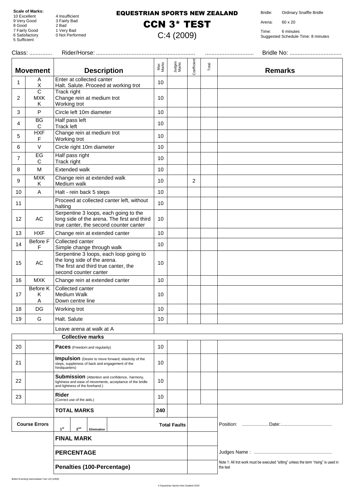8 Good 2 Bad

5 Sufficient

4 Insufficient 9 Very Good 3 Fairly Bad 7 Fairly Good 1 Very Bad 4 Insulficient<br>3 Fairly Bad<br>2 Bad<br>1 Very Bad<br>0 Not Performed

#### EQUESTRIAN SPORTS NEW ZEALAND

### CCN 3\* TEST

C:4 (2009)

Bridle: Ordinary Snaffle Bridle

Arena: 60 x 20

| Class: |                                            |                                                                                                                                                       |              |                     |             |       |                                                                                                  |
|--------|--------------------------------------------|-------------------------------------------------------------------------------------------------------------------------------------------------------|--------------|---------------------|-------------|-------|--------------------------------------------------------------------------------------------------|
|        | <b>Movement</b>                            | <b>Description</b>                                                                                                                                    | Max<br>Marks | Judges<br>Marks     | Coefficient | Total | <b>Remarks</b>                                                                                   |
| 1      | Α<br>X                                     | Enter at collected canter<br>Halt. Salute. Proceed at working trot                                                                                    | 10           |                     |             |       |                                                                                                  |
| 2      | $\overline{C}$<br><b>MXK</b><br>Κ          | Track right<br>Change rein at medium trot<br>Working trot                                                                                             | 10           |                     |             |       |                                                                                                  |
| 3      | P                                          | Circle left 10m diameter                                                                                                                              | 10           |                     |             |       |                                                                                                  |
| 4      | <b>BG</b><br>C                             | Half pass left<br>Track left                                                                                                                          | 10           |                     |             |       |                                                                                                  |
| 5      | <b>HXF</b><br>F                            | Change rein at medium trot<br>Working trot                                                                                                            | 10           |                     |             |       |                                                                                                  |
| 6      | $\vee$                                     | Circle right 10m diameter                                                                                                                             | 10           |                     |             |       |                                                                                                  |
| 7      | EG<br>C                                    | Half pass right<br>Track right                                                                                                                        | 10           |                     |             |       |                                                                                                  |
| 8      | M                                          | Extended walk                                                                                                                                         | 10           |                     |             |       |                                                                                                  |
| 9      | <b>MXK</b><br>Κ                            | Change rein at extended walk<br>Medium walk                                                                                                           | 10           |                     | 2           |       |                                                                                                  |
| 10     | A                                          | Halt - rein back 5 steps                                                                                                                              | 10           |                     |             |       |                                                                                                  |
| 11     |                                            | Proceed at collected canter left, without<br>halting                                                                                                  | 10           |                     |             |       |                                                                                                  |
| 12     | AC                                         | Serpentine 3 loops, each going to the<br>long side of the arena. The first and third<br>true canter, the second counter canter                        | 10           |                     |             |       |                                                                                                  |
| 13     | <b>HXF</b>                                 | Change rein at extended canter                                                                                                                        | 10           |                     |             |       |                                                                                                  |
| 14     | Before F<br>F                              | Collected canter<br>Simple change through walk                                                                                                        | 10           |                     |             |       |                                                                                                  |
| 15     | $\mathsf{AC}$                              | Serpentine 3 loops, each loop going to<br>the long side of the arena.<br>The first and third true canter, the<br>second counter canter                | 10           |                     |             |       |                                                                                                  |
| 16     | <b>MXK</b>                                 | Change rein at extended canter                                                                                                                        | 10           |                     |             |       |                                                                                                  |
| 17     | Before K<br>Κ<br>$\boldsymbol{\mathsf{A}}$ | Collected canter<br><b>Medium Walk</b><br>Down centre line                                                                                            | 10           |                     |             |       |                                                                                                  |
| 18     | DG                                         | Working trot                                                                                                                                          | 10           |                     |             |       |                                                                                                  |
| 19     | G                                          | Halt. Salute                                                                                                                                          | 10           |                     |             |       |                                                                                                  |
|        |                                            | Leave arena at walk at A                                                                                                                              |              |                     |             |       |                                                                                                  |
|        |                                            | Collective marks                                                                                                                                      |              |                     |             |       |                                                                                                  |
| 20     |                                            | <b>Paces</b> (Freedom and regularity)                                                                                                                 | 10           |                     |             |       |                                                                                                  |
| 21     |                                            | <b>Impulsion</b> (Desire to move forward, elasticity of the<br>steps, suppleness of back and engagement of the<br>hindquarters)                       | 10           |                     |             |       |                                                                                                  |
| 22     |                                            | <b>Submission</b> (Attention and confidence, harmony,<br>lightness and ease of movements, acceptance of the bridle<br>and lightness of the forehand.) | 10           |                     |             |       |                                                                                                  |
| 23     |                                            | Rider<br>(Correct use of the aids.)                                                                                                                   | 10           |                     |             |       |                                                                                                  |
|        |                                            | <b>TOTAL MARKS</b>                                                                                                                                    | 240          |                     |             |       |                                                                                                  |
|        | <b>Course Errors</b>                       | 1 <sup>st</sup><br>2 <sup>nd</sup><br>Elimination                                                                                                     |              | <b>Total Faults</b> |             |       |                                                                                                  |
|        |                                            | <b>FINAL MARK</b>                                                                                                                                     |              |                     |             |       |                                                                                                  |
|        |                                            | <b>PERCENTAGE</b>                                                                                                                                     |              |                     |             |       |                                                                                                  |
|        | Penalties (100-Percentage)                 |                                                                                                                                                       |              |                     |             |       | Note 1: All trot work must be executed "sitting" unless the term "rising" is used in<br>the test |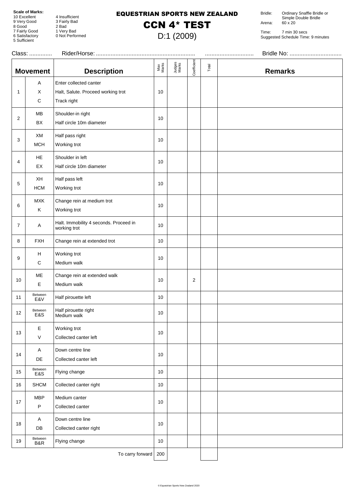9 Very Good 8 Good 2 Bad

5 Sufficient

4 Insufficient<br>3 Fairly Bad 7 Fairly Good 1 Very Bad 9 Fairly Bad<br>2 Bad<br>1 Very Bad<br>0 Not Performed

#### EQUESTRIAN SPORTS NEW ZEALAND

## CCN 4\* TEST

D:1 (2009)

Bridle: Ordinary Snaffle Bridle or Simple Double Bridle Arena: 60 x 20

Time: 7 min 30 secs Suggested Schedule Time: 9 minutes

|                | Class:<br>        |                                                                             |              |                 |                |       |                |  |
|----------------|-------------------|-----------------------------------------------------------------------------|--------------|-----------------|----------------|-------|----------------|--|
|                | <b>Movement</b>   | <b>Description</b>                                                          | Max<br>Marks | Judges<br>Marks | Coefficient    | Total | <b>Remarks</b> |  |
| 1              | Α<br>X<br>С       | Enter collected canter<br>Halt, Salute. Proceed working trot<br>Track right | 10           |                 |                |       |                |  |
| $\overline{2}$ | <b>MB</b><br>BX   | Shoulder-in right<br>Half circle 10m diameter                               | 10           |                 |                |       |                |  |
| 3              | XM<br>MCH         | Half pass right<br>Working trot                                             | 10           |                 |                |       |                |  |
| 4              | ${\sf HE}$<br>EX  | Shoulder in left<br>Half circle 10m diameter                                | 10           |                 |                |       |                |  |
| 5              | XH<br><b>HCM</b>  | Half pass left<br>Working trot                                              | 10           |                 |                |       |                |  |
| 6              | <b>MXK</b><br>Κ   | Change rein at medium trot<br>Working trot                                  | 10           |                 |                |       |                |  |
| $\overline{7}$ | A                 | Halt. Immobility 4 seconds. Proceed in<br>working trot                      | 10           |                 |                |       |                |  |
| 8              | <b>FXH</b>        | Change rein at extended trot                                                | 10           |                 |                |       |                |  |
| 9              | H<br>C            | Working trot<br>Medium walk                                                 | 10           |                 |                |       |                |  |
| 10             | ME<br>$\mathsf E$ | Change rein at extended walk<br>Medium walk                                 | 10           |                 | $\overline{2}$ |       |                |  |
| 11             | Between<br>E&V    | Half pirouette left                                                         | 10           |                 |                |       |                |  |
| 12             | Between<br>E&S    | Half pirouette right<br>Medium walk                                         | 10           |                 |                |       |                |  |
| 13             | Е<br>V            | Working trot<br>Collected canter left                                       | 10           |                 |                |       |                |  |
| 14             | A<br>DE           | Down centre line<br>Collected canter left                                   | 10           |                 |                |       |                |  |
| 15             | Between<br>E&S    | Flying change                                                               | 10           |                 |                |       |                |  |
| 16             | <b>SHCM</b>       | Collected canter right                                                      | 10           |                 |                |       |                |  |
| 17             | <b>MBP</b><br>P   | Medium canter<br>Collected canter                                           | 10           |                 |                |       |                |  |
| 18             | A<br>DB           | Down centre line<br>Collected canter right                                  | 10           |                 |                |       |                |  |
| 19             | Between<br>B&R    | Flying change                                                               | 10           |                 |                |       |                |  |
|                |                   | To carry forward                                                            | 200          |                 |                |       |                |  |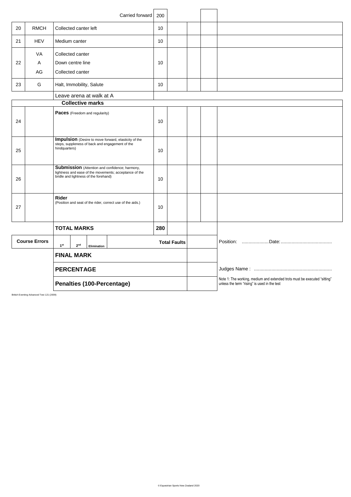|    |                      | Carried forward                                                                                                                                          | 200 |                     |  |                                                                                                                           |
|----|----------------------|----------------------------------------------------------------------------------------------------------------------------------------------------------|-----|---------------------|--|---------------------------------------------------------------------------------------------------------------------------|
| 20 | <b>RMCH</b>          | Collected canter left                                                                                                                                    | 10  |                     |  |                                                                                                                           |
| 21 | <b>HEV</b>           | Medium canter                                                                                                                                            | 10  |                     |  |                                                                                                                           |
|    | VA                   | Collected canter                                                                                                                                         |     |                     |  |                                                                                                                           |
| 22 | Α                    | Down centre line                                                                                                                                         | 10  |                     |  |                                                                                                                           |
|    | AG                   | Collected canter                                                                                                                                         |     |                     |  |                                                                                                                           |
| 23 | G                    | Halt, Immobility, Salute                                                                                                                                 | 10  |                     |  |                                                                                                                           |
|    |                      | Leave arena at walk at A                                                                                                                                 |     |                     |  |                                                                                                                           |
|    |                      | <b>Collective marks</b>                                                                                                                                  |     |                     |  |                                                                                                                           |
| 24 |                      | Paces (Freedom and regularity)                                                                                                                           | 10  |                     |  |                                                                                                                           |
| 25 |                      | Impulsion (Desire to move forward, elasticity of the<br>steps, suppleness of back and engagement of the<br>hindquarters)                                 | 10  |                     |  |                                                                                                                           |
| 26 |                      | <b>Submission</b> (Attention and confidence; harmony,<br>lightness and ease of the movements; acceptance of the<br>bridle and lightness of the forehand) | 10  |                     |  |                                                                                                                           |
| 27 |                      | Rider<br>(Position and seat of the rider, correct use of the aids.)                                                                                      | 10  |                     |  |                                                                                                                           |
|    |                      | <b>TOTAL MARKS</b>                                                                                                                                       | 280 |                     |  |                                                                                                                           |
|    | <b>Course Errors</b> | 1 <sup>st</sup><br>2 <sup>nd</sup><br>Elimination                                                                                                        |     | <b>Total Faults</b> |  |                                                                                                                           |
|    | <b>FINAL MARK</b>    |                                                                                                                                                          |     |                     |  |                                                                                                                           |
|    |                      | <b>PERCENTAGE</b>                                                                                                                                        |     |                     |  |                                                                                                                           |
|    |                      | Penalties (100-Percentage)                                                                                                                               |     |                     |  | Note 1: The working, medium and extended trots must be executed "sitting"<br>unless the term "rising" is used in the test |

British Eventing Advanced Test 121 (2009)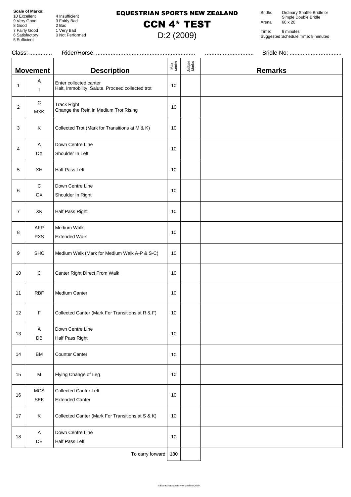8 Good 2 Bad

5 Sufficient

4 Insufficient 9 Very Good 3 Fairly Bad 7 Fairly Good 1 Very Bad 4 Insulficient<br>3 Fairly Bad<br>2 Bad<br>1 Very Bad<br>0 Not Performed

#### EQUESTRIAN SPORTS NEW ZEALAND

### CCN 4\* TEST

D:2 (2009)

Bridle: Ordinary Snaffle Bridle or Simple Double Bridle Arena: 60 x 20

|                | Class:                    |                                                                            |              |                 |                |
|----------------|---------------------------|----------------------------------------------------------------------------|--------------|-----------------|----------------|
|                | <b>Movement</b>           | <b>Description</b>                                                         | Max<br>Marks | Judges<br>Marks | <b>Remarks</b> |
| $\mathbf{1}$   | Α<br>$\mathbf{I}$         | Enter collected canter<br>Halt, Immobility, Salute. Proceed collected trot | 10           |                 |                |
| $\overline{2}$ | $\mathbf C$<br><b>MXK</b> | <b>Track Right</b><br>Change the Rein in Medium Trot Rising                | 10           |                 |                |
| 3              | Κ                         | Collected Trot (Mark for Transitions at M & K)                             | 10           |                 |                |
| 4              | A<br>DX                   | Down Centre Line<br>Shoulder In Left                                       | 10           |                 |                |
| 5              | XH                        | Half Pass Left                                                             | 10           |                 |                |
| 6              | C<br>GX                   | Down Centre Line<br>Shoulder In Right                                      | 10           |                 |                |
| $\overline{7}$ | XK                        | Half Pass Right                                                            | 10           |                 |                |
| 8              | AFP<br><b>PXS</b>         | Medium Walk<br><b>Extended Walk</b>                                        | 10           |                 |                |
| 9              | <b>SHC</b>                | Medium Walk (Mark for Medium Walk A-P & S-C)                               | 10           |                 |                |
| 10             | $\mathbf C$               | Canter Right Direct From Walk                                              | 10           |                 |                |
| 11             | <b>RBF</b>                | Medium Canter                                                              | 10           |                 |                |
| 12             | F                         | Collected Canter (Mark For Transitions at R & F)                           | 10           |                 |                |
| 13             | A<br>DB                   | Down Centre Line<br>Half Pass Right                                        | 10           |                 |                |
| 14             | BM                        | <b>Counter Canter</b>                                                      | 10           |                 |                |
| 15             | M                         | Flying Change of Leg                                                       | 10           |                 |                |
| 16             | <b>MCS</b><br><b>SEK</b>  | <b>Collected Canter Left</b><br><b>Extended Canter</b>                     | 10           |                 |                |
| 17             | Κ                         | Collected Canter (Mark For Transitions at S & K)                           | 10           |                 |                |
| 18             | A<br>DE                   | Down Centre Line<br>Half Pass Left                                         | 10           |                 |                |
|                |                           | To carry forward                                                           | 180          |                 |                |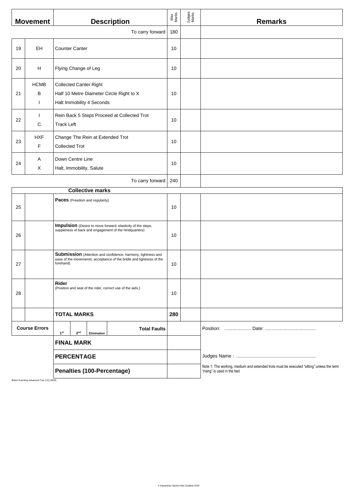|    | <b>Movement</b>                  | <b>Description</b>                                                                                                                                | Max<br>Marks | Judges<br>Marks | <b>Remarks</b>                                                                                                            |
|----|----------------------------------|---------------------------------------------------------------------------------------------------------------------------------------------------|--------------|-----------------|---------------------------------------------------------------------------------------------------------------------------|
|    |                                  | To carry forward                                                                                                                                  | 180          |                 |                                                                                                                           |
| 19 | EH                               | <b>Counter Canter</b>                                                                                                                             | 10           |                 |                                                                                                                           |
| 20 | H                                | Flying Change of Leg                                                                                                                              | 10           |                 |                                                                                                                           |
| 21 | <b>HCMB</b><br>В<br>$\mathbf{I}$ | <b>Collected Canter Right</b><br>Half 10 Metre Diameter Circle Right to X<br>Halt Immobility 4 Seconds                                            | 10           |                 |                                                                                                                           |
| 22 | $\mathbf{I}$<br>С                | Rein Back 5 Steps Proceed at Collected Trot<br><b>Track Left</b>                                                                                  | 10           |                 |                                                                                                                           |
| 23 | <b>HXF</b><br>F                  | Change The Rein at Extended Trot<br><b>Collected Trot</b>                                                                                         | 10           |                 |                                                                                                                           |
| 24 | Α<br>X                           | Down Centre Line<br>Halt, Immobility, Salute                                                                                                      | 10           |                 |                                                                                                                           |
|    |                                  | To carry forward                                                                                                                                  | 240          |                 |                                                                                                                           |
|    |                                  | <b>Collective marks</b>                                                                                                                           |              |                 |                                                                                                                           |
| 25 |                                  | Paces (Freedom and regularity)                                                                                                                    | 10           |                 |                                                                                                                           |
| 26 |                                  | Impulsion (Desire to move forward, elasticity of the steps,<br>suppleness of back and engagement of the hindquarters)                             | 10           |                 |                                                                                                                           |
| 27 |                                  | Submission (Attention and confidence; harmony, lightness and<br>ease of the movements; acceptance of the bridle and lightness of the<br>forehand) | 10           |                 |                                                                                                                           |
| 28 |                                  | Rider<br>(Position and seat of the rider, correct use of the aids.)                                                                               | 10           |                 |                                                                                                                           |
|    |                                  | <b>TOTAL MARKS</b>                                                                                                                                | 280          |                 |                                                                                                                           |
|    | <b>Course Errors</b>             | <b>Total Faults</b><br>1 <sup>st</sup><br>$2^{\rm nd}$<br>Elimination                                                                             |              |                 |                                                                                                                           |
|    |                                  | <b>FINAL MARK</b>                                                                                                                                 |              |                 |                                                                                                                           |
|    |                                  | <b>PERCENTAGE</b>                                                                                                                                 |              |                 |                                                                                                                           |
|    |                                  | Penalties (100-Percentage)                                                                                                                        |              |                 | Note 1: The working, medium and extended trots must be executed "sitting" unless the term<br>"rising" is used in the test |